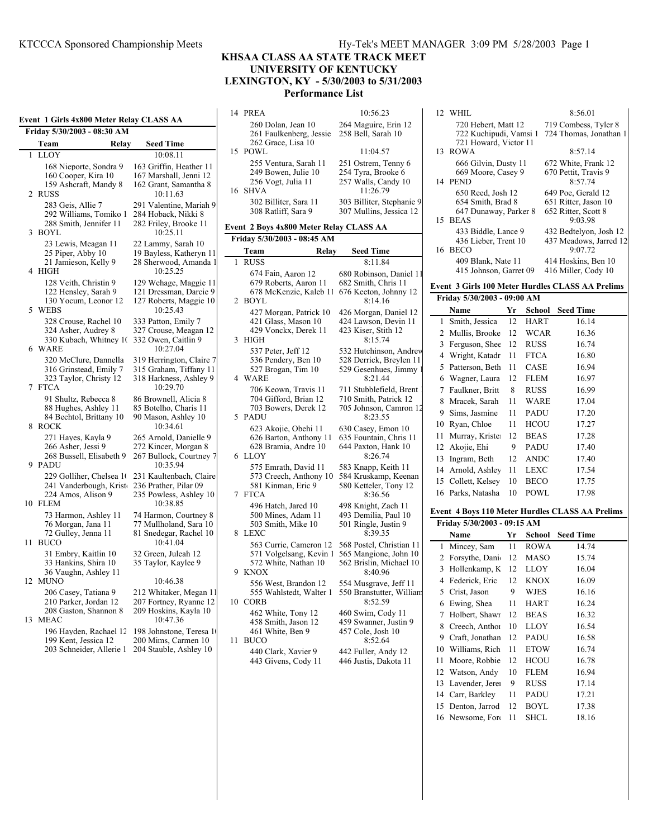|    | Event  1 Girls 4x800 Meter Relay CLASS AA                                                |                                                                                          |  |  |  |  |
|----|------------------------------------------------------------------------------------------|------------------------------------------------------------------------------------------|--|--|--|--|
|    | Friday 5/30/2003 - 08:30 AM                                                              |                                                                                          |  |  |  |  |
|    | Team<br>Relay                                                                            | Seed Time                                                                                |  |  |  |  |
| 1  | LLOY                                                                                     | 10:08.11                                                                                 |  |  |  |  |
| 2  | 168 Nieporte, Sondra 9<br>160 Cooper, Kira 10<br>159 Ashcraft, Mandy 8<br><b>RUSS</b>    | 163 Griffin, Heather 11<br>167 Marshall, Jenni 12<br>162 Grant, Samantha 8<br>10:11.63   |  |  |  |  |
| 3  | 283 Geis, Allie 7<br>292 Williams, Tomiko 1<br>288 Smith, Jennifer 11<br><b>BOYL</b>     | 291 Valentine, Mariah 9<br>284 Hoback, Nikki 8<br>282 Friley, Brooke 11<br>10:25.11      |  |  |  |  |
| 4  | 23 Lewis, Meagan 11<br>25 Piper, Abby 10<br>21 Jamieson, Kelly 9<br>HIGH                 | 22 Lammy, Sarah 10<br>19 Bayless, Katheryn 11<br>28 Sherwood, Amanda 1<br>10:25.25       |  |  |  |  |
| 5  | 128 Veith, Christin 9<br>122 Hensley, Sarah 9<br>130 Yocum, Leonor 12<br><b>WEBS</b>     | 129 Wehage, Maggie 11<br>121 Dressman, Darcie 9<br>127 Roberts, Maggie 10<br>10:25.43    |  |  |  |  |
| 6  | 328 Crouse, Rachel 10<br>324 Asher, Audrey 8<br>330 Kubach, Whitney 10<br><b>WARE</b>    | 333 Patton, Emily 7<br>327 Crouse, Meagan 12<br>332 Owen, Caitlin 9<br>10:27.04          |  |  |  |  |
| 7  | 320 McClure, Dannella<br>316 Grinstead, Emily 7<br>323 Taylor, Christy 12<br><b>FTCA</b> | 319 Herrington, Claire 7<br>315 Graham, Tiffany 11<br>318 Harkness, Ashley 9<br>10:29.70 |  |  |  |  |
| 8  | 91 Shultz, Rebecca 8<br>88 Hughes, Ashley 11<br>84 Bechtol, Brittany 10<br>ROCK          | 86 Brownell, Alicia 8<br>85 Botelho, Charis 11<br>90 Mason, Ashley 10<br>10:34.61        |  |  |  |  |
| 9  | 271 Hayes, Kayla 9<br>266 Asher, Jessi 9<br>268 Bussell, Elisabeth 9<br>PADU             | 265 Arnold, Danielle 9<br>272 Kincer, Morgan 8<br>267 Bullock, Courtney 7<br>10:35.94    |  |  |  |  |
| 10 | 229 Golliher, Chelsea 10<br>241 Vanderbough, Krist<br>224 Amos, Alison 9<br><b>FLEM</b>  | 231 Kaultenbach, Claire<br>236 Prather, Pilar 09<br>235 Powless, Ashley 10<br>10:38.85   |  |  |  |  |
| 11 | 73 Harmon, Ashley 11<br>76 Morgan, Jana 11<br>72 Gulley, Jenna 11<br><b>BUCO</b>         | 74 Harmon, Courtney 8<br>77 Mullholand, Sara 10<br>81 Snedegar, Rachel 10<br>10:41.04    |  |  |  |  |
|    | 31 Embry, Kaitlin 10<br>33 Hankins, Shira 10<br>36 Vaughn, Ashley 11                     | 32 Green, Juleah 12<br>35 Taylor, Kaylee 9                                               |  |  |  |  |
| 12 | MUNO<br>206 Casey, Tatiana 9<br>210 Parker, Jordan 12<br>208 Gaston, Shannon 8           | 10:46.38<br>212 Whitaker, Megan 11<br>207 Fortney, Ryanne 12<br>209 Hoskins, Kayla 10    |  |  |  |  |
| 13 | MEAC<br>196 Hayden, Rachael 12<br>199 Kent, Jessica 12<br>203 Schneider, Allerie 1       | 10:47.36<br>198 Johnstone, Teresa 1<br>200 Mims, Carmen 10<br>204 Stauble, Ashley 10     |  |  |  |  |

# **KHSAA CLASS AA STATE TRACK MEET UNIVERSITY OF KENTUCKY LEXINGTON, KY - 5/30/2003 to 5/31/2003 Performance List**

|    | 14 PREA                                         | 10:56.23                                          |
|----|-------------------------------------------------|---------------------------------------------------|
|    | 260 Dolan, Jean 10                              | 264 Maguire, Erin 12                              |
|    | 261 Faulkenberg, Jessie                         | 258 Bell, Sarah 10                                |
| 15 | 262 Grace, Lisa 10<br>POWL                      | 11:04.57                                          |
|    | 255 Ventura, Sarah 11                           | 251 Ostrem, Tenny 6                               |
|    | 249 Bowen, Julie 10                             | 254 Tyra, Brooke 6                                |
| 16 | 256 Vogt, Julia 11<br>SHVA                      | 257 Walls, Candy 10<br>11:26.79                   |
|    | 302 Billiter, Sara 11                           | 303 Billiter, Stephanie 9                         |
|    | 308 Ratliff, Sara 9                             | 307 Mullins, Jessica 12                           |
|    | Event 2 Boys 4x800 Meter Relay CLASS AA         |                                                   |
|    | Friday 5/30/2003 - 08:45 AM                     |                                                   |
|    | Team<br>Relay                                   | <b>Seed Time</b>                                  |
| 1  | <b>RUSS</b>                                     | 8:11.84                                           |
|    | 674 Fain, Aaron 12<br>679 Roberts, Aaron 11     | 680 Robinson, Daniel 11<br>682 Smith, Chris 11    |
|    | 678 McKenzie, Kaleb 11                          | 676 Keeton, Johnny 12                             |
| 2  | <b>BOYL</b>                                     | 8:14.16                                           |
|    | 427 Morgan, Patrick 10<br>421 Glass, Mason 10   | 426 Morgan, Daniel 12<br>424 Lawson, Devin 11     |
|    | 429 Vonckx, Derek 11                            | 423 Kiser, Stith 12                               |
| 3  | HIGH                                            | 8:15.74                                           |
|    | 537 Peter, Jeff 12<br>536 Pendery, Ben 10       | 532 Hutchinson, Andrew<br>528 Derrick, Breylen 11 |
|    | 527 Brogan, Tim 10                              | 529 Gesenhues, Jimmy 1                            |
| 4  | WARE                                            | 8:21.44                                           |
|    | 706 Keown, Travis 11                            | 711 Stubblefield, Brent                           |
|    | 704 Gifford, Brian 12<br>703 Bowers, Derek 12   | 710 Smith, Patrick 12<br>705 Johnson, Camron 12   |
| 5  | <b>PADU</b>                                     | 8:23.55                                           |
|    | 623 Akojie, Obehi 11                            | 630 Casey, Emon 10                                |
|    | 626 Barton, Anthony 11<br>628 Bramia, Andre 10  | 635 Fountain, Chris 11<br>644 Paxton, Hank 10     |
| 6  | <b>LLOY</b>                                     | 8:26.74                                           |
|    | 575 Emrath, David 11                            | 583 Knapp, Keith 11                               |
|    | 573 Creech, Anthony 10<br>581 Kinman, Eric 9    | 584 Kruskamp, Keenan<br>580 Ketteler, Tony 12     |
| 7  | <b>FTCA</b>                                     | 8:36.56                                           |
|    | 496 Hatch, Jared 10                             | 498 Knight, Zach 11                               |
|    | 500 Mines, Adam 11<br>503 Smith, Mike 10        | 493 Demilia, Paul 10<br>501 Ringle, Justin 9      |
| 8  | <b>LEXC</b>                                     | 8:39.35                                           |
|    | 563 Currie, Cameron 12                          | 568 Postel, Christian 11                          |
|    | 571 Volgelsang, Kevin 1<br>572 White, Nathan 10 | 565 Mangione, John 10<br>562 Brislin, Michael 10  |
| 9  | <b>KNOX</b>                                     | 8:40.96                                           |
|    | 556 West, Brandon 12                            | 554 Musgrave, Jeff 11                             |
| 10 | 555 Wahlstedt, Walter 1<br><b>CORB</b>          | 550 Branstutter, William<br>8:52.59               |
|    | 462 White, Tony 12                              | 460 Swim, Cody 11                                 |
|    | 458 Smith, Jason 12                             | 459 Swanner, Justin 9                             |
|    | 461 White, Ben 9                                | 457 Cole, Josh 10                                 |
| 11 | <b>BUCO</b><br>440 Clark, Xavier 9              | 8:52.64<br>442 Fuller, Andy 12                    |
|    | 443 Givens, Cody 11                             | 446 Justis, Dakota 11                             |
|    |                                                 |                                                   |
|    |                                                 |                                                   |

| 12 | WHIL                                 |    |             | 8:56.01                                          |
|----|--------------------------------------|----|-------------|--------------------------------------------------|
|    | 720 Hebert, Matt 12                  |    |             | 719 Combess, Tyler 8                             |
|    | 722 Kuchipudi, Vamsi 1               |    |             | 724 Thomas, Jonathan 1                           |
| 13 | 721 Howard, Victor 11<br><b>ROWA</b> |    |             | 8:57.14                                          |
|    | 666 Gilvin. Dusty 11                 |    |             |                                                  |
|    | 669 Moore, Casey 9                   |    |             | 672 White, Frank 12<br>670 Pettit, Travis 9      |
| 14 | <b>PEND</b>                          |    |             | 8:57.74                                          |
|    | 650 Reed, Josh 12                    |    |             | 649 Poe, Gerald 12                               |
|    | 654 Smith, Brad 8                    |    |             | 651 Ritter, Jason 10                             |
| 15 | 647 Dunaway, Parker 8<br><b>BEAS</b> |    |             | 652 Ritter, Scott 8<br>9:03.98                   |
|    | 433 Biddle, Lance 9                  |    |             | 432 Bedtelyon, Josh 12                           |
|    | 436 Lieber, Trent 10                 |    |             | 437 Meadows, Jarred 12                           |
| 16 | <b>BECO</b>                          |    |             | 9:07.72                                          |
|    | 409 Blank, Nate 11                   |    |             | 414 Hoskins, Ben 10                              |
|    | 415 Johnson, Garret 09               |    |             | 416 Miller, Cody 10                              |
|    |                                      |    |             | Event 3 Girls 100 Meter Hurdles CLASS AA Prelims |
|    | Friday 5/30/2003 - 09:00 AM          |    |             |                                                  |
|    | Name                                 | Yr | School      | <b>Seed Time</b>                                 |
| 1  | Smith, Jessica                       | 12 | HART        | 16.14                                            |
| 2  | Mullis, Brooke                       | 12 | WCAR        | 16.36                                            |
| 3  | Ferguson, Shee                       | 12 | <b>RUSS</b> | 16.74                                            |
|    | 4 Wright, Katadr                     | 11 | <b>FTCA</b> | 16.80                                            |
| 5  | Patterson, Beth                      | 11 | CASE        | 16.94                                            |
| 6  | Wagner, Laura                        | 12 | FLEM        | 16.97                                            |
| 7  | Faulkner, Britt                      | 8  | <b>RUSS</b> | 16.99                                            |
| 8  | Mracek, Sarah                        | 11 | WARE        | 17.04                                            |
| 9  | Sims, Jasmine                        | 11 | PADU        | 17.20                                            |
| 10 | Ryan, Chloe                          | 11 | <b>HCOU</b> | 17.27                                            |
| 11 | Murray, Kriste                       | 12 | BEAS        | 17.28                                            |
| 12 | Akojie, Ehi                          | 9  | PADU        | 17.40                                            |
| 13 | Ingram, Beth                         | 12 | ANDC        | 17.40                                            |
| 14 | Arnold, Ashley                       | 11 | LEXC        | 17.54                                            |
| 15 | Collett, Kelsey                      | 10 | <b>BECO</b> | 17.75                                            |
| 16 | Parks, Natasha                       | 10 | POWL        | 17.98                                            |
|    |                                      |    |             | Event 4 Boys 110 Meter Hurdles CLASS AA Prelims  |
|    | Friday 5/30/2003 - 09:15 AM          |    |             |                                                  |
|    | Name                                 | Yr | School      | <b>Seed Time</b>                                 |
| 1  | Mincey, Sam                          | 11 | <b>ROWA</b> | 14.74                                            |
| 2  | Forsythe, Dani                       | 12 | MASO        | 15.74                                            |
| 3  | Hollenkamp, K                        | 12 | LLOY        | 16.04                                            |
| 4  | Federick, Eric                       | 12 | <b>KNOX</b> | 16.09                                            |
| 5  | Crist, Jason                         | 9  | <b>WJES</b> | 16.16                                            |
| 6  | Ewing, Shea                          | 11 | HART        | 16.24                                            |
| 7  | Holbert, Shawr                       | 12 | BEAS        | 16.32                                            |
| 8  | Creech, Anthor                       | 10 | LLOY        | 16.54                                            |
| 9  | Craft, Jonathan                      | 12 | PADU        | 16.58                                            |
| 10 | Williams, Rich                       | 11 | <b>ETOW</b> | 16.74                                            |
| 11 | Moore, Robbie                        | 12 | <b>HCOU</b> | 16.78                                            |
| 12 | Watson, Andy                         | 10 | FLEM        | 16.94                                            |
| 13 | Lavender, Jerer                      | 9  | RUSS        | 17.14                                            |
| 14 | Carr, Barkley                        | 11 | PADU        | 17.21                                            |
| 15 | Denton, Jarrod                       | 12 | <b>BOYL</b> | 17.38                                            |
| 16 | Newsome, For                         | 11 | <b>SHCL</b> | 18.16                                            |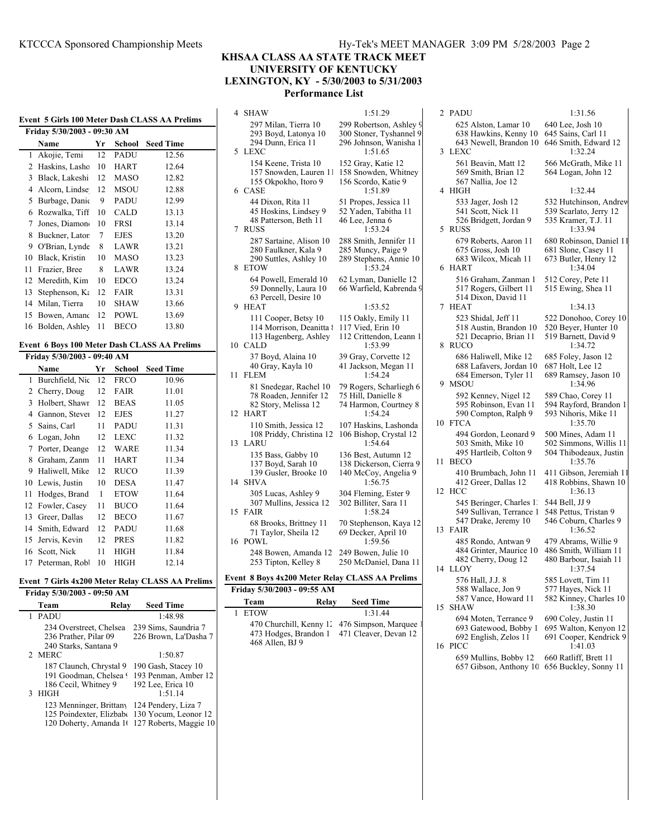## **UNIVERSITY OF KENTUCKY LEXINGTON, KY - 5/30/2003 to 5/31/2003**

**Performance List**

|    |                                                |        |             |                                                  | 4  | SHAW            |
|----|------------------------------------------------|--------|-------------|--------------------------------------------------|----|-----------------|
|    |                                                |        |             | Event 5 Girls 100 Meter Dash CLASS AA Prelims    |    | 297 N           |
|    | Friday 5/30/2003 - 09:30 AM                    |        |             |                                                  |    | 293 E           |
|    | Name                                           | Yr     | School      | <b>Seed Time</b>                                 | 5  | 294 I<br>LEXC   |
|    | 1 Akojie, Temi                                 | 12     | PADU        | 12.56                                            |    | 154 F           |
|    | 2 Haskins, Lashc                               | 10     | <b>HART</b> | 12.64                                            |    | 157 S           |
|    | 3 Black, Lakeshi                               | 12     | <b>MASO</b> | 12.82                                            |    | 155 C           |
|    | 4 Alcorn, Lindse                               | 12     | <b>MSOU</b> | 12.88                                            |    | 6 CASE          |
|    | 5 Burbage, Danie                               | 9      | PADU        | 12.99                                            |    | 44 Di           |
|    | 6 Rozwalka, Tiff                               | 10     | <b>CALD</b> | 13.13                                            |    | 45 H            |
| 7  | Jones, Diamon                                  | 10     | <b>FRSI</b> | 13.14                                            |    | 48 Pa<br>7 RUSS |
|    | 8 Buckner, Lator                               | 7      | <b>EJES</b> | 13.20                                            |    | 287 S           |
|    | 9 O'Brian, Lynde                               | 8      | LAWR        | 13.21                                            |    | 280 F           |
|    | 10 Black, Kristin                              | 10     | MASO        | 13.23                                            |    | 290 S           |
|    | 11 Frazier, Bree                               | 8      | LAWR        | 13.24                                            | 8  | <b>ETOW</b>     |
|    | 12 Meredith, Kim                               | 10     | <b>EDCO</b> | 13.24                                            |    | 64 Po           |
|    | 13 Stephenson, Ka                              | 12     | <b>FAIR</b> | 13.31                                            |    | 59 D            |
|    | 14 Milan, Tierra                               | $10\,$ | SHAW        | 13.66                                            |    | 63 Pe<br>9 HEAT |
|    | 15 Bowen, Amanc                                | 12     | POWL        | 13.69                                            |    | 111 C           |
| 16 | Bolden, Ashley                                 | 11     | <b>BECO</b> | 13.80                                            |    | 114 N           |
|    |                                                |        |             |                                                  |    | 113 F           |
|    |                                                |        |             | Event 6 Boys 100 Meter Dash CLASS AA Prelims     |    | 10 CALD         |
|    | Friday 5/30/2003 - 09:40 AM                    |        |             |                                                  |    | 37 B            |
|    | Name                                           | Yr     | School      | <b>Seed Time</b>                                 | 11 | 40 Gı<br>FLEM   |
|    | 1 Burchfield, Nic                              | 12     | <b>FRCO</b> | 10.96                                            |    | 81 Sr           |
|    | 2 Cherry, Doug                                 | 12     | FAIR        | 11.01                                            |    | 78 Ro           |
|    | 3 Holbert, Shawr                               | 12     | <b>BEAS</b> | 11.05                                            |    | 82 St           |
|    | 4 Gannon, Stever                               | 12     | <b>EJES</b> | 11.27                                            |    | 12 HART         |
|    | 5 Sains, Carl                                  | 11     | PADU        | 11.31                                            |    | 110 S           |
|    | 6 Logan, John                                  | 12     | LEXC        | 11.32                                            |    | 108 F           |
|    | 7 Porter, Deange                               | 12     | WARE        | 11.34                                            | 13 | LARU            |
|    | 8 Graham, Zanm                                 | 11     | HART        | 11.34                                            |    | 135 E<br>137 E  |
|    | 9 Haliwell, Mike                               | 12     | <b>RUCO</b> | 11.39                                            |    | 139 (           |
|    | 10 Lewis, Justin                               | 10     | <b>DESA</b> | 11.47                                            | 14 | <b>SHVA</b>     |
| 11 | Hodges, Brand                                  | 1      | <b>ETOW</b> | 11.64                                            |    | 305 I           |
|    | 12 Fowler, Casey                               | 11     | <b>BUCO</b> | 11.64                                            |    | 307 N           |
|    | 13 Greer, Dallas                               | 12     | <b>BECO</b> | 11.67                                            | 15 | FAIR            |
|    | 14 Smith, Edward                               | 12     | PADU        | 11.68                                            |    | 68 Bi<br>71 Tε  |
| 15 | Jervis, Kevin                                  | 12     | PRES        | 11.82                                            |    | 16 POWL         |
| 16 | Scott, Nick                                    | 11     | HIGH        | 11.84                                            |    | 248 E           |
|    | 17 Peterman, Robi                              | 10     | <b>HIGH</b> | 12.14                                            |    | 253 J           |
|    |                                                |        |             |                                                  |    | Event 8 Boy     |
|    |                                                |        |             | Event 7 Girls 4x200 Meter Relay CLASS AA Prelims |    | Friday 5/3      |
|    | Friday 5/30/2003 - 09:50 AM                    |        |             |                                                  |    | Team            |
|    | Team                                           |        | Relay       | <b>Seed Time</b>                                 | 1  | <b>ETOW</b>     |
| 1  | <b>PADU</b>                                    |        |             | 1:48.98                                          |    | 470 C           |
|    | 234 Overstreet, Chelsea                        |        |             | 239 Sims, Saundria 7                             |    | 473 F           |
|    | 236 Prather, Pilar 09<br>240 Starks, Santana 9 |        |             | 226 Brown, La'Dasha 7                            |    | 468 A           |
| 2  | <b>MERC</b>                                    |        |             | 1:50.87                                          |    |                 |
|    | 187 Claunch, Chrystal 9                        |        |             | 190 Gash, Stacey 10                              |    |                 |
|    | 191 Goodman, Chelsea!                          |        |             | 193 Penman, Amber 12                             |    |                 |
|    | 186 Cecil, Whitney 9                           |        |             | 192 Lee, Erica 10                                |    |                 |
| 3  | HIGH                                           |        |             | 1:51.14                                          |    |                 |
|    | 123 Menninger, Brittany                        |        |             | 124 Pendery, Liza 7                              |    |                 |

125 Poindexter, Elizbabe 130 Yocum, Leonor 12 120 Doherty, Amanda 10 127 Roberts, Maggie 10

| irls 4x200 Meter Relay CLASS AA Prelims | Event 8 Boys 4x200 Meter Relay     |
|-----------------------------------------|------------------------------------|
| .                                       | <b>Friday 5/30/2003 - 00:55 AM</b> |

| FIIUAV 3/30/4003 - 07.33 AIVI |                 |       |                                                                                               |  |
|-------------------------------|-----------------|-------|-----------------------------------------------------------------------------------------------|--|
|                               | Team            | Relay | <b>Seed Time</b>                                                                              |  |
|                               | 1 ETOW          |       | 1.314                                                                                         |  |
|                               | 468 Allen, BJ 9 |       | 470 Churchill, Kenny 1. 476 Simpson, Marquee 1<br>473 Hodges, Brandon 1 471 Cleaver, Devan 12 |  |

| 4 SHAW                                                                              | 1:51.29                                                                                 | 2 PADU                                                                             | 1:31.56                                                         |
|-------------------------------------------------------------------------------------|-----------------------------------------------------------------------------------------|------------------------------------------------------------------------------------|-----------------------------------------------------------------|
| 297 Milan, Tierra 10<br>293 Boyd, Latonya 10<br>294 Dunn, Erica 11<br>5 LEXC        | 299 Robertson, Ashley 9<br>300 Stoner, Tyshannel 9<br>296 Johnson, Wanisha 1<br>1:51.65 | 625 Alston, Lamar 10<br>638 Hawkins, Kenny 10<br>643 Newell, Brandon 10<br>3 LEXC  | 640 Lee, Josh 1<br>645 Sains, Carl<br>646 Smith, Edv<br>1:32.24 |
| 154 Keene, Trista 10<br>157 Snowden, Lauren 11<br>155 Okpokho, Itoro 9<br>6 CASE    | 152 Gray, Katie 12<br>158 Snowden, Whitney<br>156 Scordo, Katie 9<br>1:51.89            | 561 Beavin, Matt 12<br>569 Smith, Brian 12<br>567 Nallia, Joe 12<br>4 HIGH         | 566 McGrath, N<br>564 Logan, Joh<br>1:32.44                     |
| 44 Dixon, Rita 11<br>45 Hoskins, Lindsey 9<br>48 Patterson, Beth 11<br>7 RUSS       | 51 Propes, Jessica 11<br>52 Yaden, Tabitha 11<br>46 Lee, Jenna 6<br>1:53.24             | 533 Jager, Josh 12<br>541 Scott, Nick 11<br>526 Bridgett, Jordan 9<br>5 RUSS       | 532 Hutchinsor<br>539 Scarlato, Je<br>535 Kramer, T.<br>1:33.94 |
| 287 Sartaine, Alison 10<br>280 Faulkner, Kala 9<br>290 Suttles, Ashley 10<br>8 ETOW | 288 Smith, Jennifer 11<br>285 Muncy, Paige 9<br>289 Stephens, Annie 10<br>1:53.24       | 679 Roberts, Aaron 11<br>675 Gross, Josh 10<br>683 Wilcox, Micah 11<br>6 HART      | 680 Robinson,<br>681 Slone, Cas<br>673 Butler, Her<br>1:34.04   |
| 64 Powell, Emerald 10<br>59 Donnelly, Laura 10<br>63 Percell, Desire 10<br>9 HEAT   | 62 Lyman, Danielle 12<br>66 Warfield, Kabrenda 9<br>1:53.52                             | 516 Graham, Zanman 11<br>517 Rogers, Gilbert 11<br>514 Dixon, David 11<br>7 HEAT   | 512 Corey, Pete<br>515 Ewing, She<br>1:34.13                    |
| 111 Cooper, Betsy 10<br>114 Morrison, Deanitta {<br>113 Hagenberg, Ashley<br>0 CALD | 115 Oakly, Emily 11<br>117 Vied, Erin 10<br>112 Crittendon, Leann 1<br>1:53.99          | 523 Shidal, Jeff 11<br>518 Austin, Brandon 10<br>521 Decaprio, Brian 11<br>8 RUCO  | 522 Donohoo,<br>520 Beyer, Hur<br>519 Barnett, Da<br>1:34.72    |
| 37 Boyd, Alaina 10<br>40 Gray, Kayla 10<br>1 FLEM                                   | 39 Gray, Corvette 12<br>41 Jackson, Megan 11<br>1:54.24                                 | 686 Haliwell, Mike 12<br>688 Lafavers, Jordan 10<br>684 Emerson, Tyler 11          | 685 Foley, Jaso<br>687 Holt, Lee 1<br>689 Ramsey, Ja            |
| 81 Snedegar, Rachel 10<br>78 Roaden, Jennifer 12<br>82 Story, Melissa 12<br>2 HART  | 79 Rogers, Scharliegh 6<br>75 Hill, Danielle 8<br>74 Harmon, Courtney 8<br>1:54.24      | 9 MSOU<br>592 Kenney, Nigel 12<br>595 Robinson, Evan 11<br>590 Compton, Ralph 9    | 1:34.96<br>589 Chao, Core<br>594 Rayford, B<br>593 Nihoris, M   |
| 110 Smith, Jessica 12<br>108 Priddy, Christina 12<br>3 LARU                         | 107 Haskins, Lashonda<br>106 Bishop, Crystal 12<br>1:54.64                              | 10 FTCA<br>494 Gordon, Leonard 9<br>503 Smith, Mike 10                             | 1:35.70<br>500 Mines, Ada<br>502 Simmons,                       |
| 135 Bass, Gabby 10<br>137 Boyd, Sarah 10<br>139 Gusler, Brooke 10<br>4 SHVA         | 136 Best, Autumn 12<br>138 Dickerson, Cierra 9<br>140 McCoy, Angelia 9<br>1:56.75       | 495 Hartleib, Colton 9<br>11 BECO<br>410 Brumbach, John 11<br>412 Greer, Dallas 12 | 504 Thibodeau<br>1:35.76<br>411 Gibson, Jer<br>418 Robbins, S   |
| 305 Lucas, Ashley 9<br>307 Mullins, Jessica 12<br>5 FAIR                            | 304 Fleming, Ester 9<br>302 Billiter, Sara 11<br>1:58.24                                | 12 HCC<br>545 Beringer, Charles 1.<br>549 Sullivan, Terrance 1                     | 1:36.13<br>544 Bell, JJ 9<br>548 Pettus, Tris                   |
| 68 Brooks, Brittney 11<br>71 Taylor, Sheila 12<br>6 POWL                            | 70 Stephenson, Kaya 12<br>69 Decker, April 10<br>1:59.56                                | 547 Drake, Jeremy 10<br>13 FAIR<br>485 Rondo, Antwan 9                             | 546 Coburn, Cl<br>1:36.52<br>479 Abrams, W                      |
| 248 Bowen, Amanda 12<br>253 Tipton, Kelley 8                                        | 249 Bowen, Julie 10<br>250 McDaniel, Dana 11                                            | 484 Grinter, Maurice 10<br>482 Cherry, Doug 12<br>14 LLOY                          | 486 Smith, Wil<br>480 Barbour, Is<br>1:37.54                    |
| ent 8 Boys 4x200 Meter Relay CLASS AA Prelims<br>Friday 5/30/2003 - 09:55 AM        |                                                                                         | 576 Hall, J.J. 8<br>588 Wallace, Jon 9                                             | 585 Lovett, Tin<br>577 Hayes, Nic                               |
| Team<br>Relay                                                                       | <b>Seed Time</b>                                                                        | 587 Vance, Howard 11                                                               | 582 Kinney, Ch                                                  |

625 Alston, Lamar 10 640 Lee, Josh 10 638 Hawkins, Kenny 10 645 Sains, Carl 11 643 Newell, Brandon 10 646 Smith, Edward 12  $\chi$ C 1:32.24 61 Beavin, Matt 12 566 McGrath, Mike 11<br>69 Smith, Brian 12 564 Logan, John 12 564 Logan, John 12 67 Nallia, Joe 12<br>H 1:32.44 533 Jager, Josh 12 532 Hutchinson, Andrew 541 Scott, Nick 11 539 Scarlato, Jerry 12 26 Bridgett, Jordan 9 SS 1:33.94 79 Roberts, Aaron 11 680 Robinson, Daniel 1<br>75 Gross, Josh 10 681 Slone, Casey 11 681 Slone, Casey 11 83 Wilcox, Micah 11 673 Butler, Henry 12<br>RT 1:34.04  $1:34.04$ 516 Graham, Zanman 11 512 Corey, Pete 11 517 Rogers, Gilbert 11 515 Ewing, Shea 11 14 Dixon, David 11 AT 1:34.13 23 Shidal, Jeff 11 522 Donohoo, Corey 10<br>18 Austin, Brandon 10 520 Beyer, Hunter 10 520 Beyer, Hunter 10 521 Decaprio, Brian 11 519 Barnett, David 9 8 RUCO 1:34.72 86 Haliwell, Mike 12 685 Foley, Jason 12<br>88 Lafavers, Jordan 10 687 Holt, Lee 12 88 Lafavers, Jordan 10<br>84 Emerson, Tyler 11 689 Ramsey, Jason 10 9 MSOU 1:34.96 ender 92 Kenney, Nigel 12 589 Chao, Corey 11<br>95 Robinson, Evan 11 594 Rayford, Brande 95 Robinson, Evan 11 594 Rayford, Brandon 1<br>90 Compton, Ralph 9 593 Nihoris, Mike 11 593 Nihoris, Mike 11  $CA$  1:35.70 94 Gordon, Leonard 9 500 Mines, Adam 11<br>03 Smith, Mike 10 502 Simmons, Willis endent of Sulfau, Mike 10 502 Simmons, Willis 11<br>95 Hartleib, Colton 9 504 Thibodeaux, Justin 504 Thibodeaux, Justin  $CO$  1:35.76 410 Brumbach, John 11 411 Gibson, Jeremiah 11 412 Greer, Dallas 12 418 Robbins, Shawn 10  $1:36.13$ 45 Beringer, Charles 1. 544 Bell, JJ 9<br>49 Sullivan, Terrance 1 548 Pettus, Tristan 9 49 Sullivan, Terrance 1 547 Drake, Jeremy 10 546 Coburn, Charles 9  $IR$  1:36.52 485 Rondo, Antwan 9 479 Abrams, Willie 9 484 Grinter, Maurice 10 486 Smith, William 11 480 Barbour, Isaiah 11  $OY$  1:37.54 576 Hall, J.J. 8 585 Lovett, Tim 11 88 Wallace, Jon 9 577 Hayes, Nick 11<br>87 Vance, Howard 11 582 Kinney, Charles 582 Kinney, Charles 10 15 SHAW 1:38.30 694 Moten, Terrance 9 690 Coley, Justin 11<br>693 Gatewood, Bobby 1 695 Walton, Kenyon 12 693 Gatewood, Bobby 1<br>692 English, Zelos 11 691 Cooper, Kendrick 9 16 PICC 1:41.03 659 Mullins, Bobby 12 660 Ratliff, Brett 11 657 Gibson, Anthony 10 656 Buckley, Sonny 11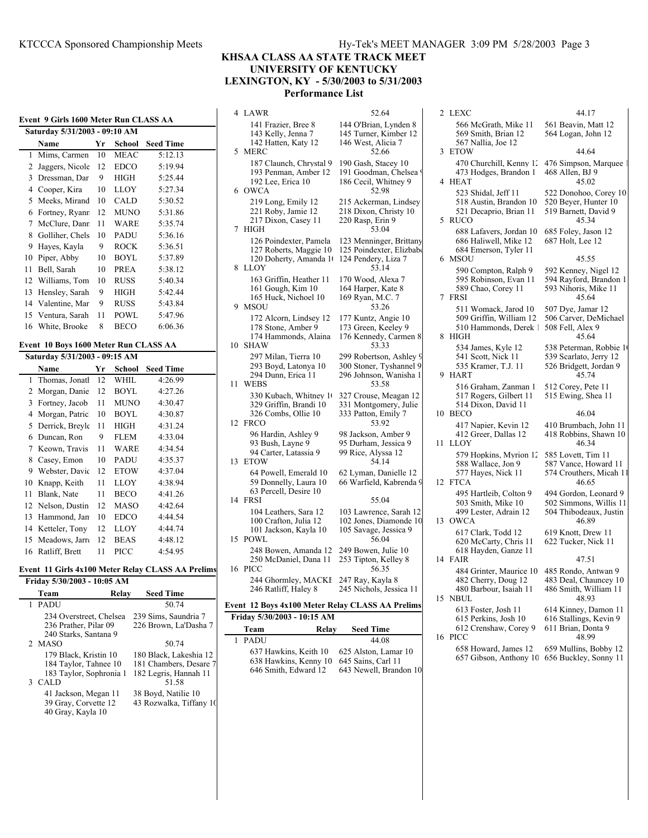# **UNIVERSITY OF KENTUCKY**

# **LEXINGTON, KY - 5/30/2003 to 5/31/2003**

**Performance List**

| Event 9 Girls 1600 Meter Run CLASS AA |                                                                        |    |             |                  |  |
|---------------------------------------|------------------------------------------------------------------------|----|-------------|------------------|--|
| Saturday 5/31/2003 - 09:10 AM         |                                                                        |    |             |                  |  |
|                                       | Name                                                                   | Yr | School      | <b>Seed Time</b> |  |
| $\mathbf{1}$                          | Mims, Carmen                                                           | 10 | <b>MEAC</b> | 5:12.13          |  |
| 2                                     | Jaggers, Nicole                                                        | 12 | <b>EDCO</b> | 5:19.94          |  |
| 3                                     | Dressman, Dar                                                          | 9  | <b>HIGH</b> | 5:25.44          |  |
| 4                                     | Cooper, Kira                                                           | 10 | <b>LLOY</b> | 5:27.34          |  |
| 5                                     | Meeks, Mirand                                                          | 10 | <b>CALD</b> | 5:30.52          |  |
| 6                                     | Fortney, Ryanr                                                         | 12 | <b>MUNO</b> | 5:31.86          |  |
| 7                                     | McClure, Danr                                                          | 11 | <b>WARE</b> | 5:35.74          |  |
| 8                                     | Golliher, Chels                                                        | 10 | PADU        | 5:36.16          |  |
| 9                                     | Hayes, Kayla                                                           | 9  | <b>ROCK</b> | 5:36.51          |  |
| 10                                    | Piper, Abby                                                            | 10 | <b>BOYL</b> | 5:37.89          |  |
| 11                                    | Bell, Sarah                                                            | 10 | PREA        | 5:38.12          |  |
| 12                                    | Williams, Tom                                                          | 10 | <b>RUSS</b> | 5:40.34          |  |
| 13                                    | Hensley, Sarah                                                         | 9  | <b>HIGH</b> | 5:42.44          |  |
| 14                                    | Valentine, Mar                                                         | 9  | <b>RUSS</b> | 5:43.84          |  |
| 15                                    | Ventura, Sarah                                                         | 11 | POWL        | 5:47.96          |  |
| 16                                    | White, Brooke                                                          | 8  | <b>BECO</b> | 6:06.36          |  |
|                                       |                                                                        |    |             |                  |  |
|                                       | Event 10 Boys 1600 Meter Run CLASS AA<br>Saturday 5/31/2003 - 09:15 AM |    |             |                  |  |
|                                       |                                                                        |    |             |                  |  |
|                                       | Name                                                                   | Yr | School      | <b>Seed Time</b> |  |
| $\mathbf{1}$                          | Thomas, Jonatl                                                         | 12 | <b>WHIL</b> | 4:26.99          |  |
| $\overline{c}$                        | Morgan, Danie                                                          | 12 | <b>BOYL</b> | 4:27.26          |  |
| 3                                     | Fortney, Jacob                                                         | 11 | <b>MUNO</b> | 4:30.47          |  |
| 4                                     | Morgan, Patric                                                         | 10 | <b>BOYL</b> | 4:30.87          |  |
| 5                                     | Derrick, Breyle                                                        | 11 | <b>HIGH</b> | 4:31.24          |  |
| 6                                     | Duncan, Ron                                                            | 9  | <b>FLEM</b> | 4:33.04          |  |
| 7                                     | Keown, Travis                                                          | 11 | <b>WARE</b> | 4:34.54          |  |
| 8                                     | Casey, Emon                                                            | 10 | PADU        | 4:35.37          |  |
| 9                                     | Webster, Davic                                                         | 12 | <b>ETOW</b> | 4:37.04          |  |
| 10                                    | Knapp, Keith                                                           | 11 | <b>LLOY</b> | 4:38.94          |  |

## **Event 11 Girls 4x100 Meter Relay CLASS AA Prelims**

 Blank, Nate 11 BECO 4:41.26 Nelson, Dustin 12 MASO 4:42.64 Hammond, Jam 10 EDCO 4:44.54 Ketteler, Tony 12 LLOY 4:44.74 Meadows, Jarre 12 BEAS 4:48.12 Ratliff, Brett 11 PICC 4:54.95

| Friday 5/30/2003 - 10:05 AM                                                         |                                                                                    |  |  |  |  |
|-------------------------------------------------------------------------------------|------------------------------------------------------------------------------------|--|--|--|--|
| Team                                                                                | <b>Seed Time</b><br>Relav                                                          |  |  |  |  |
| 1 PADU                                                                              | 50.74                                                                              |  |  |  |  |
| 234 Overstreet, Chelsea<br>236 Prather, Pilar 09<br>240 Starks, Santana 9<br>2 MASO | 239 Sims, Saundria 7<br>226 Brown, La'Dasha 7<br>50.74                             |  |  |  |  |
| 179 Black, Kristin 10<br>184 Taylor, Tahnee 10<br>183 Taylor, Sophronia 1<br>3 CALD | 180 Black, Lakeshia 12<br>181 Chambers, Desare 7<br>182 Legris, Hannah 11<br>51.58 |  |  |  |  |
| 41 Jackson, Megan 11<br>39 Gray, Corvette 12<br>40 Gray, Kayla 10                   | 38 Boyd, Natilie 10<br>43 Rozwalka, Tiffany 10                                     |  |  |  |  |

| 4  | LAWR                                                                                  | 52.64                                                                                 |  |  |  |
|----|---------------------------------------------------------------------------------------|---------------------------------------------------------------------------------------|--|--|--|
| 5  | 141 Frazier, Bree 8<br>143 Kelly, Jenna 7<br>142 Hatten, Katy 12<br>MERC              | 144 O'Brian, Lynden 8<br>145 Turner, Kimber 12<br>146 West, Alicia 7<br>52.66         |  |  |  |
| 6  | 187 Claunch, Chrystal 9<br>193 Penman, Amber 12<br>192 Lee, Erica 10<br>OWCA          | 190 Gash, Stacey 10<br>191 Goodman, Chelsea 9<br>186 Cecil, Whitney 9<br>52.98        |  |  |  |
| 7  | 219 Long, Emily 12<br>221 Roby, Jamie 12<br>217 Dixon, Casey 11<br>HIGH               | 215 Ackerman, Lindsey<br>218 Dixon, Christy 10<br>220 Rasp, Erin 9<br>53.04           |  |  |  |
| 8  | 126 Poindexter, Pamela<br>127 Roberts, Maggie 10<br>120 Doherty, Amanda 10<br>LLOY    | 123 Menninger, Brittany<br>125 Poindexter, Elizbab<br>124 Pendery, Liza 7<br>53.14    |  |  |  |
| 9  | 163 Griffin, Heather 11<br>161 Gough, Kim 10<br>165 Huck, Nichoel 10<br>MSOU          | 170 Wood, Alexa 7<br>164 Harper, Kate 8<br>169 Ryan, M.C. 7<br>53.26                  |  |  |  |
| 10 | 172 Alcorn, Lindsey 12<br>178 Stone, Amber 9<br>174 Hammonds, Alaina<br><b>SHAW</b>   | 177 Kuntz, Angie 10<br>173 Green, Keeley 9<br>176 Kennedy, Carmen 8<br>53.33          |  |  |  |
| 11 | 297 Milan, Tierra 10<br>293 Boyd, Latonya 10<br>294 Dunn, Erica 11<br>WEBS            | 299 Robertson, Ashley 9<br>300 Stoner, Tyshannel 9<br>296 Johnson, Wanisha 1<br>53.58 |  |  |  |
| 12 | 330 Kubach, Whitney 1<br>329 Griffin, Brandi 10<br>326 Combs, Ollie 10<br><b>FRCO</b> | 327 Crouse, Meagan 12<br>331 Montgomery, Julie<br>333 Patton, Emily 7<br>53.92        |  |  |  |
| 13 | 96 Hardin, Ashley 9<br>93 Bush, Layne 9<br>94 Carter, Latassia 9<br><b>ETOW</b>       | 98 Jackson, Amber 9<br>95 Durham, Jessica 9<br>99 Rice, Alyssa 12<br>54.14            |  |  |  |
|    | 64 Powell, Emerald 10<br>59 Donnelly, Laura 10<br>63 Percell, Desire 10               | 62 Lyman, Danielle 12<br>66 Warfield, Kabrenda 9                                      |  |  |  |
| 14 | <b>FRSI</b>                                                                           | 55.04                                                                                 |  |  |  |
| 15 | 104 Leathers, Sara 12<br>100 Crafton, Julia 12<br>101 Jackson, Kayla 10<br>POWL       | 103 Lawrence, Sarah 12<br>102 Jones, Diamonde 10<br>105 Savage, Jessica 9<br>56.04    |  |  |  |
| 16 | 248 Bowen, Amanda 12<br>250 McDaniel, Dana 11<br>PICC                                 | 249 Bowen, Julie 10<br>253 Tipton, Kelley 8<br>56.35                                  |  |  |  |
|    | 244 Ghormley, MACKE<br>246 Ratliff, Haley 8                                           | 247 Ray, Kayla 8<br>245 Nichols, Jessica 11                                           |  |  |  |
|    | vont 12 Roys 4x100 Motor Doloy CLASS AA Proli                                         |                                                                                       |  |  |  |

#### **Event 12 Boys 4x100 Meter Relay CLASS AA Prelims Friday 5/30/2003 - 10:15 AM**

| $1110aV 375072003 = 10.13$ ANI                                         |       |                                                                      |  |  |  |
|------------------------------------------------------------------------|-------|----------------------------------------------------------------------|--|--|--|
| Team                                                                   | Relay | <b>Seed Time</b>                                                     |  |  |  |
| 1 PADU                                                                 |       | 44.08                                                                |  |  |  |
| 637 Hawkins, Keith 10<br>638 Hawkins, Kenny 10<br>646 Smith, Edward 12 |       | 625 Alston, Lamar 10<br>645 Sains, Carl 11<br>643 Newell, Brandon 10 |  |  |  |

| 2  | LEXC                                                                                    | 44.17                                                                           |
|----|-----------------------------------------------------------------------------------------|---------------------------------------------------------------------------------|
|    | 566 McGrath, Mike 11<br>569 Smith, Brian 12<br>567 Nallia, Joe 12                       | 561 Beavin, Matt 12<br>564 Logan, John 12                                       |
| 3  | <b>ETOW</b>                                                                             | 44.64                                                                           |
| 4  | 470 Churchill, Kenny 12<br>473 Hodges, Brandon 1<br><b>HEAT</b>                         | 476 Simpson, Marquee 1<br>468 Allen, BJ 9<br>45.02                              |
| 5  | 523 Shidal, Jeff 11<br>518 Austin, Brandon 10<br>521 Decaprio, Brian 11<br><b>RUCO</b>  | 522 Donohoo, Corey 10<br>520 Beyer, Hunter 10<br>519 Barnett, David 9<br>45.34  |
|    | 688 Lafavers, Jordan 10<br>686 Haliwell, Mike 12<br>684 Emerson, Tyler 11               | 685 Foley, Jason 12<br>687 Holt, Lee 12                                         |
| 6  | <b>MSOU</b>                                                                             | 45.55                                                                           |
| 7  | 590 Compton, Ralph 9<br>595 Robinson, Evan 11<br>589 Chao, Corey 11<br><b>FRSI</b>      | 592 Kenney, Nigel 12<br>594 Rayford, Brandon 1<br>593 Nihoris, Mike 11<br>45.64 |
| 8  | 511 Womack, Jarod 10<br>509 Griffin, William 12<br>510 Hammonds, Derek 1<br><b>HIGH</b> | 507 Dye, Jamar 12<br>506 Carver, DeMichael<br>508 Fell, Alex 9<br>45.64         |
|    | 534 James, Kyle 12                                                                      | 538 Peterman, Robbie 1                                                          |
| 9  | 541 Scott, Nick 11<br>535 Kramer, T.J. 11<br><b>HART</b>                                | 539 Scarlato, Jerry 12<br>526 Bridgett, Jordan 9<br>45.74                       |
|    | 516 Graham, Zanman 11<br>517 Rogers, Gilbert 11<br>514 Dixon, David 11                  | 512 Corey, Pete 11<br>515 Ewing, Shea 11                                        |
| 10 | <b>BECO</b>                                                                             | 46.04                                                                           |
| 11 | 417 Napier, Kevin 12<br>412 Greer, Dallas 12<br><b>LLOY</b>                             | 410 Brumbach, John 11<br>418 Robbins, Shawn 10<br>46.34                         |
| 12 | 579 Hopkins, Myrion 12<br>588 Wallace, Jon 9<br>577 Hayes, Nick 11<br><b>FTCA</b>       | 585 Lovett, Tim 11<br>587 Vance, Howard 11<br>574 Crouthers, Micah 11<br>46.65  |
|    | 495 Hartleib, Colton 9<br>503 Smith, Mike 10<br>499 Lester, Adrain 12                   | 494 Gordon, Leonard 9<br>502 Simmons, Willis 11<br>504 Thibodeaux, Justin       |
| 13 | <b>OWCA</b>                                                                             | 46.89                                                                           |
|    | 617 Clark, Todd 12<br>620 McCarty, Chris 11<br>618 Hayden, Ganze 11                     | 619 Knott, Drew 11<br>622 Tucker, Nick 11                                       |
| 14 | <b>FAIR</b>                                                                             | 47.51                                                                           |
| 15 | 484 Grinter, Maurice 10<br>482 Cherry, Doug 12<br>480 Barbour, Isaiah 11<br><b>NBUL</b> | 485 Rondo, Antwan 9<br>483 Deal, Chauncey 10<br>486 Smith, William 11<br>48.93  |
|    | 613 Foster, Josh 11                                                                     | 614 Kinney, Damon 11                                                            |

## 615 Perkins, Josh 10 616 Stallings, Kevin 9 612 Crenshaw, Corey 9 611 Brian, Donta 9 658 Howard, James 12 659 Mullins, Bobby 12 657 Gibson, Anthony 10 656 Buckley, Sonny 11

16 PICC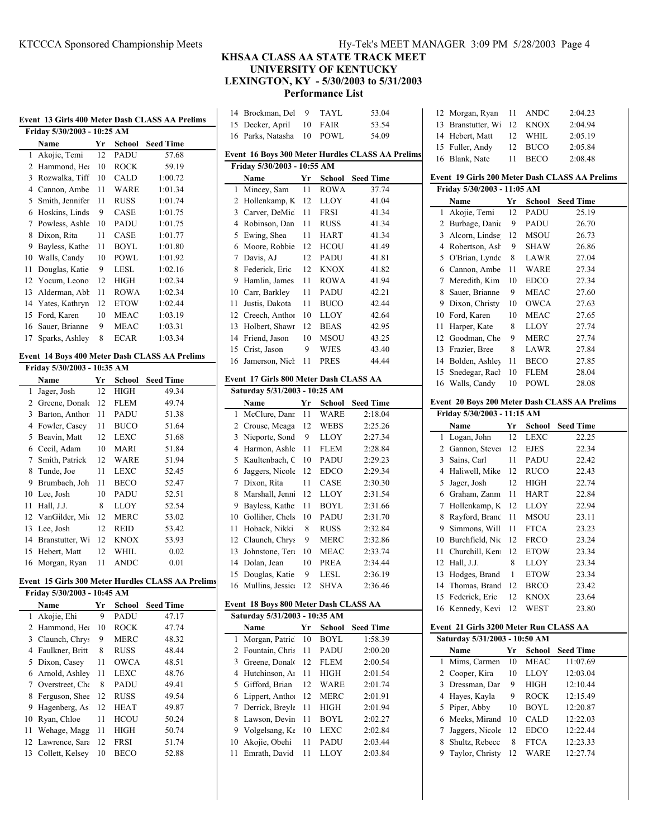# KTCCCA Sponsored Championship Meets Hy-Tek's MEET MANAGER 3:09 PM 5/28/2003 Page 4

Morgan, Ryan 11 ANDC 2:04.23

# **KHSAA CLASS AA STATE TRACK MEET UNIVERSITY OF KENTUCKY LEXINGTON, KY - 5/30/2003 to 5/31/2003 Performance List**

|                |                                   |        |              | Event 13 Girls 400 Meter Dash CLASS AA Prelims    | B<br>14              |
|----------------|-----------------------------------|--------|--------------|---------------------------------------------------|----------------------|
|                | Friday 5/30/2003 - 10:25 AM       |        |              |                                                   | 15<br>D              |
|                | Name                              | Yr     | School       | <b>Seed Time</b>                                  | 16 P                 |
| 1              | Akojie, Temi                      | 12     | PADU         | 57.68                                             | Event                |
| 2              | Hammond, Hea                      | 10     | <b>ROCK</b>  | 59.19                                             | Frida                |
| 3              | Rozwalka, Tiff                    | 10     | CALD         | 1:00.72                                           | N                    |
| $\overline{4}$ | Cannon, Ambe                      | 11     | WARE         | 1:01.34                                           | 1<br>N.              |
| 5              | Smith, Jennifer                   | 11     | RUSS         | 1:01.74                                           | $\overline{c}$<br>H  |
| 6              | Hoskins, Linds                    | 9      | CASE         | 1:01.75                                           | $\overline{3}$<br>C  |
| 7              | Powless, Ashle                    | 10     | PADU         | 1:01.75                                           | 4 R                  |
| 8              | Dixon, Rita                       | 11     | CASE         | 1:01.77                                           | 5<br>Е               |
| 9              | Bayless, Kathe                    | 11     | <b>BOYL</b>  | 1:01.80                                           | 6<br>N               |
| 10             | Walls, Candy                      | 10     | <b>POWL</b>  | 1:01.92                                           | 7<br>D               |
| 11             | Douglas, Katie                    | 9      | LESL         | 1:02.16                                           | 8<br>F <sub>0</sub>  |
| 12             | Yocum, Leono                      | 12     | HIGH         | 1:02.34                                           | 9<br>H               |
| 13             | Alderman, Abl                     | 11     | <b>ROWA</b>  | 1:02.34                                           | 10<br>$\mathcal{C}$  |
| 14             | Yates, Kathryn                    | 12     | <b>ETOW</b>  | 1:02.44                                           | 11<br>Jı             |
| 15             | Ford, Karen                       | 10     | MEAC         | 1:03.19                                           | 12<br>С              |
| 16             | Sauer, Brianne                    | 9      | MEAC         | 1:03.31                                           | 13<br>Н              |
| 17             | Sparks, Ashley                    | 8      | <b>ECAR</b>  | 1:03.34                                           | 14<br>F <sub>i</sub> |
|                |                                   |        |              | Event 14 Boys 400 Meter Dash CLASS AA Prelims     | 15<br>$\mathbf C$    |
|                | Friday 5/30/2003 - 10:35 AM       |        |              |                                                   | 16<br>Ja             |
|                | Name                              | Yr     | School       | <b>Seed Time</b>                                  | Event                |
| 1              | Jager, Josh                       | 12     | <b>HIGH</b>  | 49.34                                             | Satur                |
| 2              | Greene, Donald                    | 12     | FLEM         | 49.74                                             | N                    |
| 3              | Barton, Anthor                    | 11     | PADU         | 51.38                                             | 1<br>N.              |
| 4              | Fowler, Casey                     | 11     | <b>BUCO</b>  | 51.64                                             | $2\text{ }C$         |
| 5              | Beavin, Matt                      | 12     | LEXC         | 51.68                                             | 3<br>N               |
| 6              | Cecil, Adam                       | 10     | MARI         | 51.84                                             | $\overline{4}$<br>H  |
| 7              | Smith, Patrick                    | 12     | WARE         | 51.94                                             | 5<br>K               |
| 8              | Tunde, Joe                        | 11     | LEXC         | 52.45                                             | 6<br>Ja              |
| 9              | Brumbach, Joh                     | 11     | <b>BECO</b>  | 52.47                                             | 7<br>D               |
| 10             | Lee, Josh                         | 10     | PADU         | 52.51                                             | 8<br>N.              |
| 11             | Hall, J.J.                        | 8      | LLOY         | 52.54                                             | 9<br>B               |
| 12             | VanGilder, Mio                    | 12     | MERC         | 53.02                                             | G<br>10              |
| 13             | Lee, Josh                         | 12     | <b>REID</b>  | 53.42                                             | Н<br>11              |
| 14             | Branstutter, Wi                   | 12     | <b>KNOX</b>  | 53.93                                             | $\mathbf C$<br>12    |
| 15             | Hebert, Matt                      | 12     | WHIL         | 0.02                                              | 13<br>J              |
| 16             | Morgan, Ryan                      | 11     | <b>ANDC</b>  | 0.01                                              | 14<br>D              |
|                |                                   |        |              | Event 15 Girls 300 Meter Hurdles CLASS AA Prelims | 15<br>D<br>16 N      |
|                | Friday 5/30/2003 - 10:45 AM       |        |              |                                                   |                      |
|                | Name                              | Yr     | School       | <b>Seed Time</b>                                  | Event                |
| 1              | Akojie, Ehi                       | 9      | PADU         | 47.17                                             | Satur                |
| 2<br>3         | Hammond, Hea                      | 10     | ROCK<br>MERC | 47.74                                             | N<br>1<br>M          |
| 4              | Claunch, Chrys<br>Faulkner, Britt | 9<br>8 | RUSS         | 48.32<br>48.44                                    | $\mathfrak{2}$<br>F  |
| 5              | Dixon, Casey                      | 11     | <b>OWCA</b>  | 48.51                                             | 3<br>G               |
| 6              | Arnold, Ashley                    | 11     | LEXC         | 48.76                                             | 4<br>H               |
| 7              | Overstreet, Che                   | 8      | PADU         | 49.41                                             | 5<br>G               |
| 8              | Ferguson, Shee                    | 12     | RUSS         | 49.54                                             | 6<br>L               |
| 9              | Hagenberg, As                     | 12     | <b>HEAT</b>  | 49.87                                             | 7<br>D               |
| 10             | Ryan, Chloe                       | 11     | HCOU         | 50.24                                             | 8<br>L               |
| 11             | Wehage, Magg                      | 11     | HIGH         | 50.74                                             | 9<br>V               |
| 12             | Lawrence, Sara                    | 12     | FRSI         | 51.74                                             | 10<br>А              |
| 13             | Collett, Kelsey                   | 10     | <b>BECO</b>  | 52.88                                             | 11<br>E              |
|                |                                   |        |              |                                                   |                      |

| 14             | Brockman, Del                          | 9  | TAYL        | 53.04                                                   |
|----------------|----------------------------------------|----|-------------|---------------------------------------------------------|
| 15             | Decker, April                          | 10 | FAIR        | 53.54                                                   |
| 16             | Parks, Natasha                         | 10 | POWL        | 54.09                                                   |
|                |                                        |    |             |                                                         |
|                |                                        |    |             | <b>Event 16 Boys 300 Meter Hurdles CLASS AA Prelims</b> |
|                | Friday 5/30/2003 - 10:55 AM            |    |             |                                                         |
|                | Name                                   | Yr | School      | <b>Seed Time</b>                                        |
| 1              | Mincey, Sam                            | 11 | <b>ROWA</b> | 37.74                                                   |
| 2              | Hollenkamp, K                          | 12 | LLOY        | 41.04                                                   |
| 3              | Carver, DeMic                          | 11 | <b>FRSI</b> | 41.34                                                   |
| 4              | Robinson, Dan                          | 11 | <b>RUSS</b> | 41.34                                                   |
| 5              | Ewing, Shea                            | 11 | HART        | 41.34                                                   |
| 6              | Moore, Robbie                          | 12 | HCOU        | 41.49                                                   |
| $\tau$         | Davis, AJ                              | 12 | PADU        | 41.81                                                   |
|                |                                        |    |             |                                                         |
| 8              | Federick, Eric                         | 12 | KNOX        | 41.82                                                   |
| 9              | Hamlin, James                          | 11 | ROWA        | 41.94                                                   |
| 10             | Carr, Barkley                          | 11 | PADU        | 42.21                                                   |
| 11             | Justis, Dakota                         | 11 | <b>BUCO</b> | 42.44                                                   |
| 12             | Creech, Anthor                         | 10 | LLOY        | 42.64                                                   |
| 13             | Holbert, Shawr                         | 12 | <b>BEAS</b> | 42.95                                                   |
| 14             | Friend, Jason                          | 10 | MSOU        | 43.25                                                   |
| 15             | Crist, Jason                           | 9  | WJES        | 43.40                                                   |
| 16             | Jamerson, Nich                         | 11 | <b>PRES</b> | 44.44                                                   |
|                |                                        |    |             |                                                         |
|                | Event 17 Girls 800 Meter Dash CLASS AA |    |             |                                                         |
|                | Saturday 5/31/2003 - 10:25 AM          |    |             |                                                         |
|                | Name                                   | Yr | School      | <b>Seed Time</b>                                        |
| 1              | McClure, Danr                          | 11 | <b>WARE</b> | 2:18.04                                                 |
| $\mathfrak{2}$ | Crouse, Meaga                          | 12 | WEBS        | 2:25.26                                                 |
| 3              | Nieporte, Sond                         | 9  | LLOY        | 2:27.34                                                 |
| 4              | Harmon, Ashle                          | 11 | FLEM        | 2:28.84                                                 |
| 5              | Kaultenbach, C                         | 10 | PADU        | 2:29.23                                                 |
| 6              | Jaggers, Nicole                        | 12 | <b>EDCO</b> | 2:29.34                                                 |
|                |                                        |    |             |                                                         |
| 7              | Dixon, Rita                            | 11 | CASE        | 2:30.30                                                 |
| 8              | Marshall, Jenni                        | 12 | LLOY        | 2:31.54                                                 |
| 9              | Bayless, Kathe                         | 11 | <b>BOYL</b> | 2:31.66                                                 |
| 10             | Golliher, Chels                        | 10 | PADU        | 2:31.70                                                 |
| 11             | Hoback, Nikki                          | 8  | RUSS        | 2:32.84                                                 |
| 12             | Claunch, Chrys                         | 9  | <b>MERC</b> | 2:32.86                                                 |
| 13             | Johnstone, Tere                        | 10 | MEAC        | 2:33.74                                                 |
| 14             | Dolan, Jean                            | 10 | PREA        | 2:34.44                                                 |
| 15             | Douglas, Katie                         | 9  | <b>LESL</b> | 2:36.19                                                 |
| 16             | Mullins, Jessic:                       | 12 | <b>SHVA</b> | 2:36.46                                                 |
|                |                                        |    |             |                                                         |
|                | Event 18 Boys 800 Meter Dash CLASS AA  |    |             |                                                         |
|                | Saturday 5/31/2003 - 10:35 AM          |    |             |                                                         |
|                | <b>Name</b>                            | Yr | School      | <b>Seed Time</b>                                        |
| 1              | Morgan, Patric                         | 10 | BOYL        | 1:58.39                                                 |
| $\overline{c}$ | Fountain, Chris                        | 11 | PADU        | 2:00.20                                                 |
| 3              | Greene, Donak                          | 12 | <b>FLEM</b> | 2:00.54                                                 |
| 4              | Hutchinson, Ar                         | 11 | HIGH        | 2:01.54                                                 |
| 5              | Gifford, Brian                         | 12 | WARE        | 2:01.74                                                 |
| 6              | Lippert, Anthol                        | 12 | <b>MERC</b> | 2:01.91                                                 |
|                |                                        |    |             |                                                         |
| $\tau$         | Derrick, Breyle                        | 11 | HIGH        | 2:01.94                                                 |
| 8              | Lawson, Devin                          | 11 | BOYL        | 2:02.27                                                 |
| 9              | Volgelsang, Ke                         | 10 | LEXC        | 2:02.84                                                 |
| 10             | Akojie, Obehi                          | 11 | PADU        | 2:03.44                                                 |
| 11             | Emrath, David                          | 11 | <b>LLOY</b> | 2:03.84                                                 |
|                |                                        |    |             |                                                         |
|                |                                        |    |             |                                                         |

| 13                                             | Branstutter, Wi                        | 12           | KNOX        | 2:04.94                                       |  |  |  |
|------------------------------------------------|----------------------------------------|--------------|-------------|-----------------------------------------------|--|--|--|
| 14                                             | Hebert, Matt                           | 12           | WHIL        | 2:05.19                                       |  |  |  |
| 15                                             | Fuller, Andy                           | 12           | <b>BUCO</b> | 2:05.84                                       |  |  |  |
| 16                                             | Blank, Nate                            | 11           | <b>BECO</b> | 2:08.48                                       |  |  |  |
| Event 19 Girls 200 Meter Dash CLASS AA Prelims |                                        |              |             |                                               |  |  |  |
| Friday 5/30/2003 - 11:05 AM                    |                                        |              |             |                                               |  |  |  |
|                                                | Name                                   | Yr           | School      | <b>Seed Time</b>                              |  |  |  |
| 1                                              | Akojie, Temi                           | 12           | PADU        | 25.19                                         |  |  |  |
| 2                                              | Burbage, Danie                         | 9            | PADU        | 26.70                                         |  |  |  |
| 3                                              | Alcorn, Lindse                         | 12           | MSOU        | 26.73                                         |  |  |  |
| 4                                              | Robertson, Asl                         | 9            | SHAW        | 26.86                                         |  |  |  |
| 5                                              | O'Brian, Lynde                         | 8            | LAWR        | 27.04                                         |  |  |  |
| 6                                              | Cannon, Ambe                           | 11           | <b>WARE</b> | 27.34                                         |  |  |  |
| 7                                              | Meredith, Kim                          | 10           | <b>EDCO</b> | 27.34                                         |  |  |  |
| 8                                              | Sauer, Brianne                         | 9            | <b>MEAC</b> | 27.60                                         |  |  |  |
| 9                                              | Dixon, Christy                         | 10           | <b>OWCA</b> | 27.63                                         |  |  |  |
| 10                                             | Ford, Karen                            | 10           | MEAC        | 27.65                                         |  |  |  |
| 11                                             | Harper, Kate                           | 8            | LLOY        | 27.74                                         |  |  |  |
| 12                                             | Goodman, Che                           | 9            | MERC        | 27.74                                         |  |  |  |
| 13                                             | Frazier, Bree                          | 8            | LAWR        | 27.84                                         |  |  |  |
| 14                                             | Bolden, Ashley                         | 11           | <b>BECO</b> | 27.85                                         |  |  |  |
| 15                                             | Snedegar, Rach                         | 10           | FLEM        | 28.04                                         |  |  |  |
|                                                |                                        |              |             |                                               |  |  |  |
| 16                                             | Walls, Candy                           | 10           | POWL        | 28.08                                         |  |  |  |
|                                                |                                        |              |             | Event 20 Boys 200 Meter Dash CLASS AA Prelims |  |  |  |
|                                                | Friday 5/30/2003 - 11:15 AM            |              |             |                                               |  |  |  |
|                                                | Name                                   | Yr           | School      | <b>Seed Time</b>                              |  |  |  |
| 1                                              | Logan, John                            | 12           | LEXC        | 22.25                                         |  |  |  |
|                                                | 2 Gannon, Stever                       | 12           | <b>EJES</b> | 22.34                                         |  |  |  |
| 3                                              | Sains, Carl                            | 11           | PADU        | 22.42                                         |  |  |  |
| 4                                              | Haliwell, Mike                         | 12           | RUCO        | 22.43                                         |  |  |  |
| 5                                              | Jager, Josh                            | 12           | HIGH        | 22.74                                         |  |  |  |
| 6                                              | Graham, Zanm                           | 11           | HART        | 22.84                                         |  |  |  |
| 7                                              | Hollenkamp, K                          | 12           | LLOY        | 22.94                                         |  |  |  |
| 8                                              | Rayford, Branc                         | 11           | <b>MSOU</b> | 23.11                                         |  |  |  |
| 9                                              | Simmons, Will                          | 11           | FTCA        | 23.23                                         |  |  |  |
| 10                                             | Burchfield, Nic                        | 12           | <b>FRCO</b> | 23.24                                         |  |  |  |
| 11                                             | Churchill, Ken                         | 12           | <b>ETOW</b> | 23.34                                         |  |  |  |
| 12                                             | Hall, J.J.                             | 8            | LLOY        | 23.34                                         |  |  |  |
| 13                                             | Hodges, Brand                          | $\mathbf{1}$ | <b>ETOW</b> | 23.34                                         |  |  |  |
| 14                                             | Thomas, Brand                          | 12           | <b>BRCO</b> | 23.42                                         |  |  |  |
|                                                | 15 Federick, Eric 12 KNOX              |              |             | 23.64                                         |  |  |  |
|                                                | 16 Kennedy, Kevi 12                    |              | <b>WEST</b> | 23.80                                         |  |  |  |
|                                                | Event 21 Girls 3200 Meter Run CLASS AA |              |             |                                               |  |  |  |
|                                                | Saturday 5/31/2003 - 10:50 AM          |              |             |                                               |  |  |  |
|                                                | Name                                   | Yr           | School      | <b>Seed Time</b>                              |  |  |  |
| 1                                              | Mims, Carmen                           | 10           | MEAC        | 11:07.69                                      |  |  |  |
|                                                | 2 Cooper, Kira                         | 10           | LLOY        | 12:03.04                                      |  |  |  |
| 3                                              | Dressman, Dar                          | 9            | HIGH        | 12:10.44                                      |  |  |  |
| 4                                              | Hayes, Kayla                           | 9            | <b>ROCK</b> | 12:15.49                                      |  |  |  |
| 5                                              | Piper, Abby                            | 10           | BOYL        | 12:20.87                                      |  |  |  |
| 6                                              | Meeks, Mirand                          | 10           | CALD        | 12:22.03                                      |  |  |  |
| 7                                              | Jaggers, Nicole                        | 12           | <b>EDCO</b> | 12:22.44                                      |  |  |  |
| 8                                              | Shultz, Rebecc                         | 8            | <b>FTCA</b> | 12:23.33                                      |  |  |  |
| 9                                              | Taylor, Christy                        | 12           | WARE        | 12:27.74                                      |  |  |  |
|                                                |                                        |              |             |                                               |  |  |  |
|                                                |                                        |              |             |                                               |  |  |  |
|                                                |                                        |              |             |                                               |  |  |  |
|                                                |                                        |              |             |                                               |  |  |  |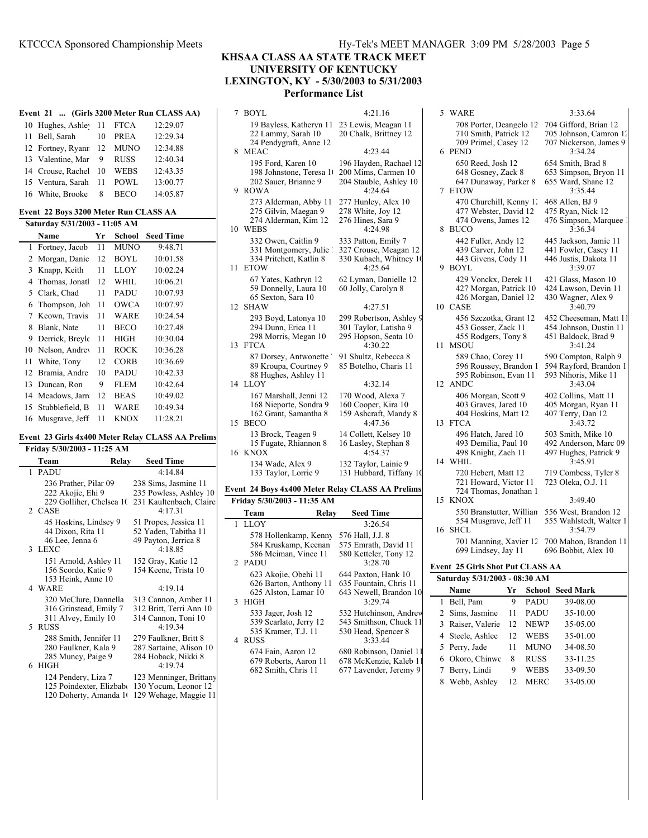# **UNIVERSITY OF KENTUCKY LEXINGTON, KY - 5/30/2003 to 5/31/2003**

**Performance List**

| Event 21  (Girls 3200 Meter Run CLASS AA) |    |             |          |
|-------------------------------------------|----|-------------|----------|
| 10 Hughes, Ashle 11 FTCA                  |    |             | 12:29.07 |
| 11 Bell, Sarah 10                         |    | <b>PREA</b> | 12:29.34 |
| 12 Fortney, Ryanr 12                      |    | <b>MUNO</b> | 12:34.88 |
| 13 Valentine, Mar 9                       |    | <b>RUSS</b> | 12:40.34 |
| 14 Crouse, Rachel 10 WEBS                 |    |             | 12:43.35 |
| 15 Ventura, Sarah 11 POWL                 |    |             | 13:00.77 |
| 16 White, Brooke                          | -8 | <b>BECO</b> | 14:05.87 |

#### **Event 22 Boys 3200 Meter Run CLASS AA**

|    | Saturday 5/31/2003 - 11:05 AM |    |             |                  |  |  |
|----|-------------------------------|----|-------------|------------------|--|--|
|    | Name                          | Yr | School      | <b>Seed Time</b> |  |  |
| 1  | Fortney, Jacob                | 11 | <b>MUNO</b> | 9:48.71          |  |  |
| 2  | Morgan, Danie                 | 12 | BOYL        | 10:01.58         |  |  |
| 3  | Knapp, Keith                  | 11 | LLOY        | 10:02.24         |  |  |
| 4  | Thomas, Jonatl                | 12 | WHIL.       | 10:06.21         |  |  |
| 5  | Clark, Chad                   | 11 | PADU        | 10:07.93         |  |  |
| 6  | Thompson, Joh                 | 11 | <b>OWCA</b> | 10:07.97         |  |  |
| 7  | Keown, Travis                 | 11 | WARE        | 10:24.54         |  |  |
| 8  | Blank, Nate                   | 11 | BECO        | 10:27.48         |  |  |
| 9  | Derrick, Breyle               | 11 | <b>HIGH</b> | 10:30.04         |  |  |
| 10 | Nelson, Andrey                | 11 | <b>ROCK</b> | 10:36.28         |  |  |
| 11 | White, Tony                   | 12 | CORB        | 10:36.69         |  |  |
| 12 | Bramia, Andre                 | 10 | <b>PADU</b> | 10:42.33         |  |  |
| 13 | Duncan, Ron                   | 9  | <b>FLEM</b> | 10:42.64         |  |  |
| 14 | Meadows, Jarro                | 12 | <b>BEAS</b> | 10:49.02         |  |  |
| 15 | Stubblefield, B               | 11 | WARE        | 10:49.34         |  |  |
| 16 | Musgrave, Jeff                | 11 | <b>KNOX</b> | 11:28.21         |  |  |

#### **Event 23 Girls 4x400 Meter Relay CLASS AA Prelims Friday 5/30/2003 - 11:25 AM**

| Team                                                                                        | Relay | <b>Seed Time</b>                                                                     |
|---------------------------------------------------------------------------------------------|-------|--------------------------------------------------------------------------------------|
| <b>PADU</b><br>$\mathbf{1}$                                                                 |       | 4:14.84                                                                              |
| 236 Prather, Pilar 09<br>222 Akojie, Ehi 9<br>229 Golliher, Chelsea 10<br>2 CASE            |       | 238 Sims, Jasmine 11<br>235 Powless, Ashley 10<br>231 Kaultenbach, Claire<br>4:17.31 |
| 45 Hoskins, Lindsey 9<br>44 Dixon, Rita 11<br>46 Lee, Jenna 6<br>3 LEXC                     |       | 51 Propes, Jessica 11<br>52 Yaden, Tabitha 11<br>49 Payton, Jerrica 8<br>4:18.85     |
| 151 Arnold, Ashley 11<br>156 Scordo, Katie 9<br>153 Heink, Anne 10<br>4 WARE                |       | 152 Gray, Katie 12<br>154 Keene, Trista 10<br>4:19.14                                |
| 320 McClure, Dannella<br>316 Grinstead, Emily 7<br>311 Alvey, Emily 10<br><b>RUSS</b><br>5. |       | 313 Cannon, Amber 11<br>312 Britt, Terri Ann 10<br>314 Cannon, Toni 10<br>4:19.34    |
| 288 Smith, Jennifer 11<br>280 Faulkner, Kala 9<br>285 Muncy, Paige 9<br><b>HIGH</b><br>6    |       | 279 Faulkner, Britt 8<br>287 Sartaine, Alison 10<br>284 Hoback, Nikki 8<br>4:19.74   |
| 124 Pendery, Liza 7<br>125 Poindexter, Elizbabo<br>120 Doherty, Amanda 1                    |       | 123 Menninger, Brittany<br>130 Yocum, Leonor 12<br>129 Wehage, Maggie 11             |

| 7  | BOYL                                                                                     | 4:21.16                                                                             |
|----|------------------------------------------------------------------------------------------|-------------------------------------------------------------------------------------|
|    | 19 Bayless, Katheryn 11<br>22 Lammy, Sarah 10<br>24 Pendygraft, Anne 12                  | 23 Lewis, Meagan 11<br>20 Chalk, Brittney 12                                        |
| 8  | <b>MEAC</b>                                                                              | 4:23.44                                                                             |
| 9  | 195 Ford, Karen 10<br>198 Johnstone, Teresa 10<br>202 Sauer, Brianne 9<br><b>ROWA</b>    | 196 Hayden, Rachael 12<br>200 Mims, Carmen 10<br>204 Stauble, Ashley 10<br>4:24.64  |
| 10 | 273 Alderman, Abby 11<br>275 Gilvin, Maegan 9<br>274 Alderman, Kim 12<br><b>WEBS</b>     | 277 Hunley, Alex 10<br>278 White, Joy 12<br>276 Hines, Sara 9<br>4:24.98            |
| 11 | 332 Owen, Caitlin 9<br>331 Montgomery, Julie 1<br>334 Pritchett, Katlin 8<br><b>ETOW</b> | 333 Patton, Emily 7<br>327 Crouse, Meagan 12<br>330 Kubach, Whitney 10<br>4:25.64   |
|    | 67 Yates, Kathryn 12<br>59 Donnelly, Laura 10<br>65 Sexton, Sara 10                      | 62 Lyman, Danielle 12<br>60 Jolly, Carolyn 8                                        |
| 12 | <b>SHAW</b><br>293 Boyd, Latonya 10<br>294 Dunn, Erica 11<br>298 Morris, Megan 10        | 4:27.51<br>299 Robertson, Ashley 9<br>301 Taylor, Latisha 9<br>295 Hopson, Seata 10 |
| 13 | <b>FTCA</b><br>87 Dorsey, Antwonette<br>89 Kroupa, Courtney 9<br>88 Hughes, Ashley 11    | 4:30.22<br>91 Shultz, Rebecca 8<br>85 Botelho, Charis 11                            |
| 14 | <b>LLOY</b>                                                                              | 4:32.14                                                                             |
| 15 | 167 Marshall, Jenni 12<br>168 Nieporte, Sondra 9<br>162 Grant, Samantha 8<br><b>BECO</b> | 170 Wood, Alexa 7<br>160 Cooper, Kira 10<br>159 Ashcraft, Mandy 8<br>4:47.36        |
|    | 13 Brock, Teagen 9                                                                       | 14 Collett, Kelsey 10                                                               |
| 16 | 15 Fugate, Rhiannon 8<br><b>KNOX</b>                                                     | 16 Lasley, Stephan 8<br>4:54.37                                                     |
|    | 134 Wade, Alex 9<br>133 Taylor, Lorrie 9                                                 | 132 Taylor, Lainie 9<br>131 Hubbard, Tiffany 10                                     |

## **Event 24 Boys 4x400 Meter Relay CLASS AA Prelims**

| Friday 5/30/2003 - 11:35 AM |                           |  |  |  |  |  |
|-----------------------------|---------------------------|--|--|--|--|--|
| Team                        | <b>Seed Time</b><br>Relav |  |  |  |  |  |
| 1 LLOY                      | 3:26.54                   |  |  |  |  |  |
| 578 Hollenkamp, Kenny       | 576 Hall, J.J. 8          |  |  |  |  |  |
| 584 Kruskamp, Keenan        | 575 Emrath, David 11      |  |  |  |  |  |
| 586 Meiman, Vince 11        | 580 Ketteler, Tony 12     |  |  |  |  |  |
| 2 PADU                      | 3:28.70                   |  |  |  |  |  |
| 623 Akojie, Obehi 11        | 644 Paxton, Hank 10       |  |  |  |  |  |
| 626 Barton, Anthony 11      | 635 Fountain, Chris 11    |  |  |  |  |  |
| 625 Alston, Lamar 10        | 643 Newell, Brandon 10    |  |  |  |  |  |
| 3 HIGH                      | 3:29.74                   |  |  |  |  |  |
| 533 Jager, Josh 12          | 532 Hutchinson, Andrew    |  |  |  |  |  |
| 539 Scarlato, Jerry 12      | 543 Smithson, Chuck 11    |  |  |  |  |  |
| 535 Kramer, T.J. 11         | 530 Head, Spencer 8       |  |  |  |  |  |
| 4 RUSS                      | 3:33.44                   |  |  |  |  |  |
| 674 Fain. Aaron 12          | 680 Robinson, Daniel 11   |  |  |  |  |  |
| 679 Roberts, Aaron 11       | 678 McKenzie, Kaleb 11    |  |  |  |  |  |
| 682 Smith, Chris 11         | 677 Lavender, Jeremy 9    |  |  |  |  |  |

| 5  | WARE                                                                                   | 3:33.64                                                                              |
|----|----------------------------------------------------------------------------------------|--------------------------------------------------------------------------------------|
|    | 708 Porter, Deangelo 12<br>710 Smith, Patrick 12<br>709 Primel, Casey 12<br>6 PEND     | 704 Gifford, Brian 12<br>705 Johnson, Camron 12<br>707 Nickerson, James 9<br>3:34.24 |
| 7  | 650 Reed, Josh 12<br>648 Gosney, Zack 8<br>647 Dunaway, Parker 8<br><b>ETOW</b>        | 654 Smith, Brad 8<br>653 Simpson, Bryon 11<br>655 Ward, Shane 12<br>3:35.44          |
| 8  | 470 Churchill, Kenny 12<br>477 Webster, David 12<br>474 Owens, James 12<br><b>BUCO</b> | 468 Allen, BJ 9<br>475 Ryan, Nick 12<br>476 Simpson, Marquee 1<br>3:36.34            |
| 9  | 442 Fuller, Andy 12<br>439 Carver, John 12<br>443 Givens, Cody 11<br><b>BOYL</b>       | 445 Jackson, Jamie 11<br>441 Fowler, Casey 11<br>446 Justis, Dakota 11<br>3:39.07    |
| 10 | 429 Vonckx, Derek 11<br>427 Morgan, Patrick 10<br>426 Morgan, Daniel 12<br><b>CASE</b> | 421 Glass, Mason 10<br>424 Lawson, Devin 11<br>430 Wagner, Alex 9<br>3:40.79         |
| 11 | 456 Szczotka, Grant 12<br>453 Gosser, Zack 11<br>455 Rodgers, Tony 8<br><b>MSOU</b>    | 452 Cheeseman, Matt 11<br>454 Johnson, Dustin 11<br>451 Baldock, Brad 9<br>3:41.24   |
| 12 | 589 Chao, Corey 11<br>596 Roussey, Brandon 1<br>595 Robinson, Evan 11<br><b>ANDC</b>   | 590 Compton, Ralph 9<br>594 Rayford, Brandon 1<br>593 Nihoris, Mike 11<br>3:43.04    |
| 13 | 406 Morgan, Scott 9<br>403 Graves, Jared 10<br>404 Hoskins, Matt 12<br><b>FTCA</b>     | 402 Collins, Matt 11<br>405 Morgan, Ryan 11<br>407 Terry, Dan 12<br>3:43.72          |
| 14 | 496 Hatch, Jared 10<br>493 Demilia, Paul 10<br>498 Knight, Zach 11<br>WHIL.            | 503 Smith, Mike 10<br>492 Anderson, Marc 09<br>497 Hughes, Patrick 9<br>3:45.91      |
|    | 720 Hebert, Matt 12<br>721 Howard, Victor 11<br>724 Thomas, Jonathan 1                 | 719 Combess, Tyler 8<br>723 Oleka, O.J. 11                                           |
| 15 | <b>KNOX</b>                                                                            | 3:49.40                                                                              |

| 550 Branstutter. Willian                     | 556 West, Brandon 12    |
|----------------------------------------------|-------------------------|
| 554 Musgrave, Jeff 11                        | 555 Wahlstedt, Walter 1 |
| 16 SHCL                                      | 3.5479                  |
| 701 Manning, Xavier 12 700 Mahon, Brandon 11 |                         |
| 699 Lindsey, Jay 11                          | 696 Bobbit, Alex 10     |

# **Event 25 Girls Shot Put CLASS AA**

|   | Saturday 5/31/2003 - 08:30 AM |    |             |                         |  |
|---|-------------------------------|----|-------------|-------------------------|--|
|   | Name                          | Yr |             | <b>School Seed Mark</b> |  |
|   | 1 Bell, Pam                   | 9  | <b>PADU</b> | 39-08.00                |  |
|   | 2 Sims, Jasmine               | 11 | <b>PADU</b> | 35-10.00                |  |
|   | 3 Raiser, Valerie             | 12 | <b>NEWP</b> | 35-05.00                |  |
|   | 4 Steele, Ashlee              | 12 | WEBS        | 35-01.00                |  |
|   | 5 Perry, Jade                 | 11 | <b>MUNO</b> | 34-08.50                |  |
|   | 6 Okoro, Chinwe               | 8  | <b>RUSS</b> | 33-11.25                |  |
|   | Berry, Lindi                  | 9  | WEBS        | 33-09.50                |  |
| 8 | Webb, Ashley                  | 12 | <b>MERC</b> | 33-05.00                |  |
|   |                               |    |             |                         |  |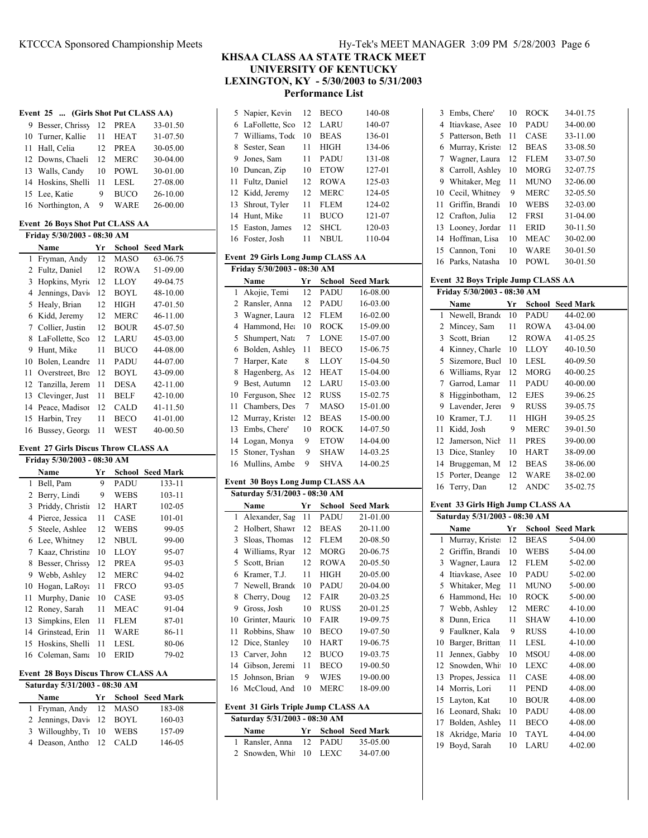**UNIVERSITY OF KENTUCKY**

**LEXINGTON, KY - 5/30/2003 to 5/31/2003**

**Performance List**

|    | Event 25  (Girls Shot Put CLASS AA)         |    |             |                         |    |
|----|---------------------------------------------|----|-------------|-------------------------|----|
| 9  | Besser, Chrissy                             | 12 | <b>PREA</b> | 33-01.50                |    |
| 10 | Turner, Kallie                              | 11 | <b>HEAT</b> | 31-07.50                |    |
| 11 | Hall, Celia                                 | 12 | PREA        | 30-05.00                |    |
| 12 | Downs, Chaeli                               | 12 | <b>MERC</b> | 30-04.00                |    |
| 13 | Walls, Candy                                | 10 | <b>POWL</b> | 30-01.00                |    |
| 14 | Hoskins, Shelli                             | 11 | LESL        | 27-08.00                |    |
| 15 | Lee, Katie                                  | 9  | <b>BUCO</b> | 26-10.00                |    |
| 16 | Northington, A                              | 9  | WARE        | 26-00.00                |    |
|    |                                             |    |             |                         |    |
|    | <b>Event 26 Boys Shot Put CLASS AA</b>      |    |             |                         |    |
|    | Friday 5/30/2003 - 08:30 AM<br>Name         | Yr | School      | <b>Seed Mark</b>        |    |
| 1  | Fryman, Andy                                | 12 | <b>MASO</b> | 63-06.75                | E١ |
| 2  | Fultz, Daniel                               | 12 | ROWA        | 51-09.00                |    |
| 3  | Hopkins, Myric                              | 12 | <b>LLOY</b> | 49-04.75                |    |
| 4  | Jennings, Davi                              | 12 | <b>BOYL</b> | 48-10.00                |    |
| 5  | Healy, Brian                                | 12 | HIGH        | 47-01.50                |    |
| 6  | Kidd, Jeremy                                | 12 | MERC        | 46-11.00                |    |
| 7  | Collier, Justin                             | 12 | <b>BOUR</b> | 45-07.50                |    |
| 8  | LaFollette, Sco                             | 12 | LARU        | 45-03.00                |    |
| 9  | Hunt, Mike                                  | 11 | <b>BUCO</b> | 44-08.00                |    |
| 10 | Bolen, Leandre                              | 11 | PADU        | 44-07.00                |    |
| 11 | Overstreet, Brc                             | 12 | <b>BOYL</b> | 43-09.00                |    |
| 12 | Tanzilla, Jerem                             | 11 | <b>DESA</b> | 42-11.00                |    |
| 13 | Clevinger, Just                             | 11 | <b>BELF</b> | 42-10.00                |    |
| 14 | Peace, Madison                              | 12 | CALD        | 41-11.50                |    |
| 15 | Harbin, Trey                                | 11 | BECO        | 41-01.00                |    |
| 16 | Bussey, George                              | 11 | WEST        | 40-00.50                |    |
|    |                                             |    |             |                         |    |
|    | <b>Event 27 Girls Discus Throw CLASS AA</b> |    |             |                         |    |
|    | Friday 5/30/2003 - 08:30 AM                 |    |             |                         |    |
|    | Name                                        | Yr | School      | <b>Seed Mark</b>        |    |
| 1  | Bell, Pam                                   | 9  | PADU        | 133-11                  | Ę, |
| 2  | Berry, Lindi                                | 9  | WEBS        | 103-11                  |    |
| 3  | Priddy, Christii                            | 12 | HART        | 102-05                  |    |
| 4  | Pierce, Jessica                             | 11 | CASE        | 101-01                  |    |
| 5  | Steele, Ashlee                              | 12 | <b>WEBS</b> | 99-05                   |    |
| 6  | Lee, Whitney                                | 12 | <b>NBUL</b> | 99-00                   |    |
| 7  | Kaaz, Christina                             | 10 | LLOY        | 95-07                   |    |
| 8  | Besser, Chrissy                             | 12 | <b>PREA</b> | 95-03                   |    |
| 9  | Webb, Ashley                                | 12 | MERC        | 94-02                   |    |
| 10 | Hogan, LaRoya                               | 11 | <b>FRCO</b> | 93-05                   |    |
| 11 | Murphy, Danie                               | 10 | CASE        | 93-05                   |    |
| 12 | Roney, Sarah                                | 11 | MEAC        | 91-04                   |    |
| 13 | Simpkins, Elen                              | 11 | FLEM        | 87-01                   |    |
| 14 | Grinstead, Erin                             | 11 | WARE        | 86-11                   |    |
| 15 | Hoskins, Shelli                             | 11 | <b>LESL</b> | 80-06                   |    |
| 16 |                                             |    | ERID        | 79-02                   |    |
|    | Coleman, Sama                               | 10 |             |                         |    |
|    | <b>Event 28 Boys Discus Throw CLASS AA</b>  |    |             |                         |    |
|    | Saturday 5/31/2003 - 08:30 AM               |    |             |                         |    |
|    | Name                                        | Yr |             | <b>School Seed Mark</b> |    |
| 1  | Fryman, Andy                                | 12 | MASO        | 183-08                  |    |
| 2  | Jennings, Davi                              | 12 | BOYL        | 160-03                  |    |
| 3  | Willoughby, T1                              | 10 | WEBS        | 157-09                  | Ŀ٦ |
| 4  | Deason, Antho                               | 12 | CALD        | 146-05                  |    |
|    |                                             |    |             |                         |    |
|    |                                             |    |             |                         |    |

| 5                                          | Napier, Kevin                     | 12 | <b>BECO</b> | 140-08           |  |  |  |
|--------------------------------------------|-----------------------------------|----|-------------|------------------|--|--|--|
| 6                                          | LaFollette, Sco                   | 12 | LARU        | 140-07           |  |  |  |
| 7                                          | Williams, Todc                    | 10 | <b>BEAS</b> | 136-01           |  |  |  |
| 8                                          | Sester, Sean                      | 11 | HIGH        | 134-06           |  |  |  |
| 9                                          | Jones, Sam                        | 11 | PADU        | 131-08           |  |  |  |
| 10                                         | Duncan, Zip                       | 10 | <b>ETOW</b> | 127-01           |  |  |  |
| 11                                         | Fultz, Daniel                     | 12 | ROWA        | 125-03           |  |  |  |
| 12                                         | Kidd, Jeremy                      | 12 | MERC        | 124-05           |  |  |  |
|                                            |                                   |    |             |                  |  |  |  |
| 13                                         | Shrout, Tyler                     | 11 | <b>FLEM</b> | 124-02           |  |  |  |
| 14                                         | Hunt, Mike                        | 11 | <b>BUCO</b> | 121-07           |  |  |  |
| 15                                         | Easton, James                     | 12 | SHCL        | 120-03           |  |  |  |
| 16                                         | Foster, Josh                      | 11 | NBUL        | 110-04           |  |  |  |
|                                            | Event 29 Girls Long Jump CLASS AA |    |             |                  |  |  |  |
|                                            | Friday 5/30/2003 - 08:30 AM       |    |             |                  |  |  |  |
| Yr<br><b>Seed Mark</b><br>Name<br>School   |                                   |    |             |                  |  |  |  |
| 1                                          | Akojie, Temi                      | 12 | PADU        | 16-08.00         |  |  |  |
| 2                                          | Ransler, Anna                     | 12 | PADU        | 16-03.00         |  |  |  |
| 3                                          |                                   | 12 |             | 16-02.00         |  |  |  |
|                                            | Wagner, Laura                     |    | FLEM        |                  |  |  |  |
| 4                                          | Hammond, Hea                      | 10 | <b>ROCK</b> | 15-09.00         |  |  |  |
| 5                                          | Shumpert, Nata                    | 7  | LONE        | 15-07.00         |  |  |  |
| 6                                          | Bolden, Ashley                    | 11 | <b>BECO</b> | 15-06.75         |  |  |  |
| 7                                          | Harper, Kate                      | 8  | <b>LLOY</b> | 15-04.50         |  |  |  |
| 8                                          | Hagenberg, As                     | 12 | HEAT        | 15-04.00         |  |  |  |
| 9                                          | Best, Autumn                      | 12 | LARU        | 15-03.00         |  |  |  |
| 10                                         | Ferguson, Shee                    | 12 | RUSS        | 15-02.75         |  |  |  |
| 11                                         | Chambers, Des                     | 7  | MASO        | 15-01.00         |  |  |  |
| 12                                         | Murray, Kriste                    | 12 | <b>BEAS</b> | 15-00.00         |  |  |  |
| 13                                         | Embs, Chere'                      | 10 | ROCK        | 14-07.50         |  |  |  |
| 14                                         | Logan, Monya                      | 9  | <b>ETOW</b> | 14-04.00         |  |  |  |
| 15                                         | Stoner, Tyshan                    | 9  | SHAW        | 14-03.25         |  |  |  |
| 16                                         | Mullins, Ambe                     | 9  | <b>SHVA</b> | 14-00.25         |  |  |  |
|                                            |                                   |    |             |                  |  |  |  |
| <b>Event 30 Boys Long Jump CLASS AA</b>    |                                   |    |             |                  |  |  |  |
| Saturday 5/31/2003 - 08:30 AM              |                                   |    |             |                  |  |  |  |
|                                            | Name                              | Yr | School      | <b>Seed Mark</b> |  |  |  |
| 1                                          | Alexander, Sag                    | 11 | <b>PADU</b> | 21-01.00         |  |  |  |
| 2                                          | Holbert, Shawr                    | 12 | <b>BEAS</b> | 20-11.00         |  |  |  |
| 3                                          | Sloas, Thomas                     | 12 | FLEM        | 20-08.50         |  |  |  |
| 4                                          | Williams, Ryar                    | 12 | MORG        | 20-06.75         |  |  |  |
| 5                                          | Scott, Brian                      | 12 | <b>ROWA</b> | 20-05.50         |  |  |  |
| 6                                          | Kramer, T.J.                      | 11 | HIGH        | 20-05.00         |  |  |  |
| 7                                          | Newell, Brando                    | 10 | PADU        | 20-04.00         |  |  |  |
| 8                                          | Cherry, Doug                      | 12 | <b>FAIR</b> | 20-03.25         |  |  |  |
| 9                                          | Gross, Josh                       | 10 | RUSS        | 20-01.25         |  |  |  |
| 10                                         | Grinter, Mauric                   | 10 | FAIR        | 19-09.75         |  |  |  |
| 11                                         | Robbins, Shaw                     | 10 | <b>BECO</b> | 19-07.50         |  |  |  |
| 12                                         | Dice, Stanley                     | 10 | HART        | 19-06.75         |  |  |  |
| 13                                         | Carver, John                      | 12 | BUCO        | 19-03.75         |  |  |  |
| 14                                         | Gibson, Jeremi                    | 11 | BECO        | 19-00.50         |  |  |  |
| 15                                         | Johnson, Brian                    | 9  | WJES        | 19-00.00         |  |  |  |
| 16                                         | McCloud, And                      | 10 | MERC        | 18-09.00         |  |  |  |
|                                            |                                   |    |             |                  |  |  |  |
| <b>Event 31 Girls Triple Jump CLASS AA</b> |                                   |    |             |                  |  |  |  |
|                                            | Saturday 5/31/2003 - 08:30 AM     |    |             |                  |  |  |  |
|                                            | Name                              | Yr | School      | <b>Seed Mark</b> |  |  |  |
| 1                                          | Ransler, Anna                     | 12 | PADU        | 35-05.00         |  |  |  |
| 2                                          | Snowden, Whit                     | 10 | LEXC        | 34-07.00         |  |  |  |
|                                            |                                   |    |             |                  |  |  |  |

| 3  | Embs, Chere'                       | 10 | <b>ROCK</b> | 34-01.75         |
|----|------------------------------------|----|-------------|------------------|
| 4  | Itiavkase, Asee                    | 10 | PADU        | 34-00.00         |
| 5  | Patterson, Beth                    | 11 | CASE        | 33-11.00         |
| 6  | Murray, Kriste                     | 12 | BEAS        | 33-08.50         |
| 7  | Wagner, Laura                      | 12 | FLEM        | 33-07.50         |
| 8  | Carroll, Ashley                    | 10 | MORG        | 32-07.75         |
| 9  | Whitaker, Meg                      | 11 | MUNO        | 32-06.00         |
| 10 | Cecil, Whitney                     | 9  | MERC        | 32-05.50         |
| 11 | Griffin, Brandi                    | 10 | WEBS        | 32-03.00         |
| 12 | Crafton, Julia                     | 12 | <b>FRSI</b> | 31-04.00         |
| 13 | Looney, Jordar                     | 11 | ERID        | 30-11.50         |
| 14 | Hoffman, Lisa                      | 10 | MEAC        | 30-02.00         |
| 15 | Cannon, Toni                       | 10 | WARE        | 30-01.50         |
| 16 | Parks, Natasha                     | 10 | POWL        | 30-01.50         |
|    |                                    |    |             |                  |
|    | Event 32 Boys Triple Jump CLASS AA |    |             |                  |
|    | Friday 5/30/2003 - 08:30 AM        |    |             |                  |
|    | Name                               | Yr | School      | <b>Seed Mark</b> |
| 1  | Newell, Brando                     | 10 | PADU        | 44-02.00         |
| 2  | Mincey, Sam                        | 11 | ROWA        | 43-04.00         |
| 3  | Scott, Brian                       | 12 | <b>ROWA</b> | 41-05.25         |
| 4  | Kinney, Charle                     | 10 | LLOY        | 40-10.50         |
| 5  | Sizemore, Bucl                     | 10 | LESL        | 40-09.50         |
| 6  | Williams, Ryar                     | 12 | MORG        | 40-00.25         |
| 7  | Garrod, Lamar                      | 11 | PADU        | 40-00.00         |
| 8  | Higginbotham,                      | 12 | EJES        | 39-06.25         |
| 9  | Lavender, Jeren                    | 9  | RUSS        | 39-05.75         |
| 10 | Kramer, T.J.                       | 11 | HIGH        | 39-05.25         |
| 11 | Kidd, Josh                         | 9  | MERC        | 39-01.50         |
| 12 | Jamerson, Nich                     | 11 | PRES        | 39-00.00         |
| 13 | Dice, Stanley                      | 10 | HART        | 38-09.00         |
| 14 | Bruggeman, M                       | 12 | <b>BEAS</b> | 38-06.00         |
| 15 | Porter, Deange                     | 12 | WARE        | 38-02.00         |
| 16 | Terry, Dan                         | 12 | ANDC        | 35-02.75         |
|    |                                    |    |             |                  |
|    | Event 33 Girls High Jump CLASS AA  |    |             |                  |
|    | Saturday 5/31/2003 - 08:30 AM      |    |             |                  |
|    | Name                               | Yr | School      | <b>Seed Mark</b> |
| 1  | Murray, Kriste                     | 12 | <b>BEAS</b> | 5-04.00          |
| 2  | Griffin, Brandi                    | 10 | <b>WEBS</b> | 5-04.00          |
| 3  | Wagner, Laura                      | 12 | FLEM        | 5-02.00          |
| 4  | Itiavkase, Asee                    | 10 | PADU        | 5-02.00          |
| 5  | Whitaker, Meg                      | 11 | <b>MUNO</b> | 5-00.00          |
| 6  | Hammond, Hea                       | 10 | ROCK        | 5-00.00          |
| 7  | Webb, Ashley                       | 12 | MERC        | 4-10.00          |
| 8  | Dunn, Erica                        | 11 | SHAW        | 4-10.00          |
| 9  | Faulkner, Kala                     | 9  | <b>RUSS</b> | 4-10.00          |
| 10 | Barger, Brittan                    | 11 | LESL        | 4-10.00          |
| 11 | Jennex, Gabby                      | 10 | MSOU        | 4-08.00          |
| 12 | Snowden, Whi                       | 10 | LEXC        | 4-08.00          |
| 13 | Propes, Jessica                    | 11 | CASE        | 4-08.00          |
| 14 | Morris, Lori                       | 11 | PEND        | 4-08.00          |
| 15 | Layton, Kat                        | 10 | BOUR        | 4-08.00          |
| 16 | Leonard, Shaka                     | 10 | PADU        | 4-08.00          |
| 17 | Bolden, Ashley                     | 11 | BECO        | 4-08.00          |
| 18 | Akridge, Maria                     | 10 | TAYL        | 4-04.00          |
| 19 | Boyd, Sarah                        | 10 | LARU        | 4-02.00          |
|    |                                    |    |             |                  |